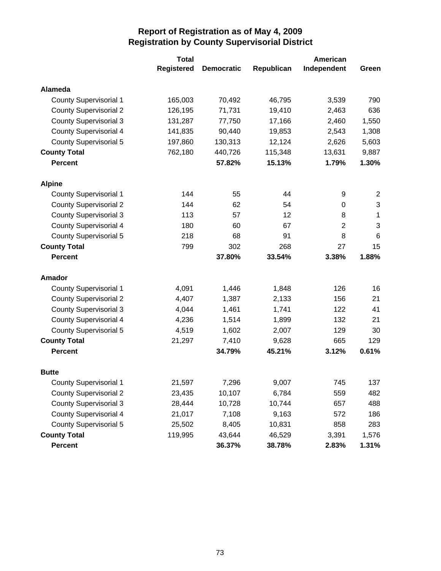|                               | <b>Total</b>      |                   |            | American       |       |
|-------------------------------|-------------------|-------------------|------------|----------------|-------|
|                               | <b>Registered</b> | <b>Democratic</b> | Republican | Independent    | Green |
| <b>Alameda</b>                |                   |                   |            |                |       |
| <b>County Supervisorial 1</b> | 165,003           | 70,492            | 46,795     | 3,539          | 790   |
| <b>County Supervisorial 2</b> | 126,195           | 71,731            | 19,410     | 2,463          | 636   |
| <b>County Supervisorial 3</b> | 131,287           | 77,750            | 17,166     | 2,460          | 1,550 |
| <b>County Supervisorial 4</b> | 141,835           | 90,440            | 19,853     | 2,543          | 1,308 |
| <b>County Supervisorial 5</b> | 197,860           | 130,313           | 12,124     | 2,626          | 5,603 |
| <b>County Total</b>           | 762,180           | 440,726           | 115,348    | 13,631         | 9,887 |
| <b>Percent</b>                |                   | 57.82%            | 15.13%     | 1.79%          | 1.30% |
| <b>Alpine</b>                 |                   |                   |            |                |       |
| <b>County Supervisorial 1</b> | 144               | 55                | 44         | 9              | 2     |
| <b>County Supervisorial 2</b> | 144               | 62                | 54         | 0              | 3     |
| <b>County Supervisorial 3</b> | 113               | 57                | 12         | 8              | 1     |
| County Supervisorial 4        | 180               | 60                | 67         | $\overline{2}$ | 3     |
| County Supervisorial 5        | 218               | 68                | 91         | 8              | 6     |
| <b>County Total</b>           | 799               | 302               | 268        | 27             | 15    |
| <b>Percent</b>                |                   | 37.80%            | 33.54%     | 3.38%          | 1.88% |
| Amador                        |                   |                   |            |                |       |
| <b>County Supervisorial 1</b> | 4,091             | 1,446             | 1,848      | 126            | 16    |
| <b>County Supervisorial 2</b> | 4,407             | 1,387             | 2,133      | 156            | 21    |
| <b>County Supervisorial 3</b> | 4,044             | 1,461             | 1,741      | 122            | 41    |
| <b>County Supervisorial 4</b> | 4,236             | 1,514             | 1,899      | 132            | 21    |
| <b>County Supervisorial 5</b> | 4,519             | 1,602             | 2,007      | 129            | 30    |
| <b>County Total</b>           | 21,297            | 7,410             | 9,628      | 665            | 129   |
| <b>Percent</b>                |                   | 34.79%            | 45.21%     | 3.12%          | 0.61% |
| <b>Butte</b>                  |                   |                   |            |                |       |
| <b>County Supervisorial 1</b> | 21,597            | 7,296             | 9,007      | 745            | 137   |
| <b>County Supervisorial 2</b> | 23,435            | 10,107            | 6,784      | 559            | 482   |
| <b>County Supervisorial 3</b> | 28,444            | 10,728            | 10,744     | 657            | 488   |
| <b>County Supervisorial 4</b> | 21,017            | 7,108             | 9,163      | 572            | 186   |
| <b>County Supervisorial 5</b> | 25,502            | 8,405             | 10,831     | 858            | 283   |
| <b>County Total</b>           | 119,995           | 43,644            | 46,529     | 3,391          | 1,576 |
| Percent                       |                   | 36.37%            | 38.78%     | 2.83%          | 1.31% |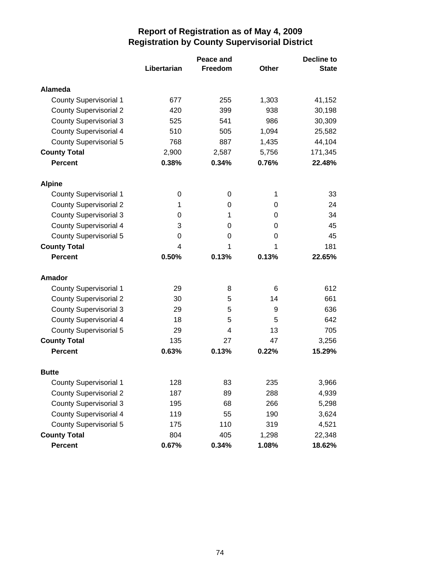|                               |             | Peace and      |       | <b>Decline to</b> |  |
|-------------------------------|-------------|----------------|-------|-------------------|--|
|                               | Libertarian | <b>Freedom</b> | Other | <b>State</b>      |  |
| Alameda                       |             |                |       |                   |  |
| <b>County Supervisorial 1</b> | 677         | 255            | 1,303 | 41,152            |  |
| <b>County Supervisorial 2</b> | 420         | 399            | 938   | 30,198            |  |
| <b>County Supervisorial 3</b> | 525         | 541            | 986   | 30,309            |  |
| <b>County Supervisorial 4</b> | 510         | 505            | 1,094 | 25,582            |  |
| <b>County Supervisorial 5</b> | 768         | 887            | 1,435 | 44,104            |  |
| <b>County Total</b>           | 2,900       | 2,587          | 5,756 | 171,345           |  |
| <b>Percent</b>                | 0.38%       | 0.34%          | 0.76% | 22.48%            |  |
| <b>Alpine</b>                 |             |                |       |                   |  |
| <b>County Supervisorial 1</b> | 0           | 0              | 1     | 33                |  |
| <b>County Supervisorial 2</b> | 1           | 0              | 0     | 24                |  |
| <b>County Supervisorial 3</b> | 0           | 1              | 0     | 34                |  |
| <b>County Supervisorial 4</b> | 3           | 0              | 0     | 45                |  |
| <b>County Supervisorial 5</b> | 0           | 0              | 0     | 45                |  |
| <b>County Total</b>           | 4           | 1              | 1     | 181               |  |
| <b>Percent</b>                | 0.50%       | 0.13%          | 0.13% | 22.65%            |  |
| Amador                        |             |                |       |                   |  |
| <b>County Supervisorial 1</b> | 29          | 8              | 6     | 612               |  |
| <b>County Supervisorial 2</b> | 30          | 5              | 14    | 661               |  |
| <b>County Supervisorial 3</b> | 29          | 5              | 9     | 636               |  |
| <b>County Supervisorial 4</b> | 18          | 5              | 5     | 642               |  |
| <b>County Supervisorial 5</b> | 29          | 4              | 13    | 705               |  |
| <b>County Total</b>           | 135         | 27             | 47    | 3,256             |  |
| <b>Percent</b>                | 0.63%       | 0.13%          | 0.22% | 15.29%            |  |
| <b>Butte</b>                  |             |                |       |                   |  |
| <b>County Supervisorial 1</b> | 128         | 83             | 235   | 3,966             |  |
| <b>County Supervisorial 2</b> | 187         | 89             | 288   | 4,939             |  |
| <b>County Supervisorial 3</b> | 195         | 68             | 266   | 5,298             |  |
| <b>County Supervisorial 4</b> | 119         | 55             | 190   | 3,624             |  |
| <b>County Supervisorial 5</b> | 175         | 110            | 319   | 4,521             |  |
| <b>County Total</b>           | 804         | 405            | 1,298 | 22,348            |  |
| <b>Percent</b>                | 0.67%       | 0.34%          | 1.08% | 18.62%            |  |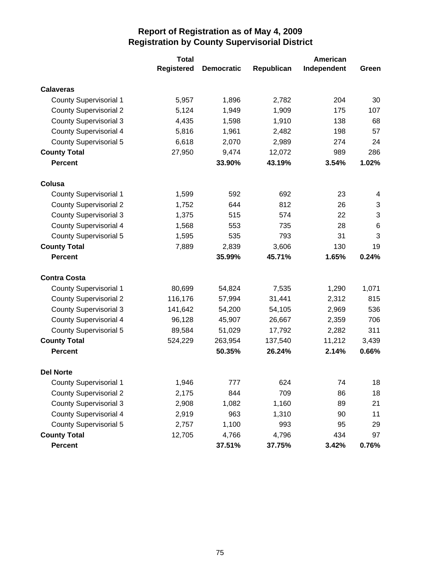|                               | <b>Total</b>      |                   |            | American    |       |
|-------------------------------|-------------------|-------------------|------------|-------------|-------|
|                               | <b>Registered</b> | <b>Democratic</b> | Republican | Independent | Green |
| <b>Calaveras</b>              |                   |                   |            |             |       |
| <b>County Supervisorial 1</b> | 5,957             | 1,896             | 2,782      | 204         | 30    |
| <b>County Supervisorial 2</b> | 5,124             | 1,949             | 1,909      | 175         | 107   |
| <b>County Supervisorial 3</b> | 4,435             | 1,598             | 1,910      | 138         | 68    |
| <b>County Supervisorial 4</b> | 5,816             | 1,961             | 2,482      | 198         | 57    |
| County Supervisorial 5        | 6,618             | 2,070             | 2,989      | 274         | 24    |
| <b>County Total</b>           | 27,950            | 9,474             | 12,072     | 989         | 286   |
| <b>Percent</b>                |                   | 33.90%            | 43.19%     | 3.54%       | 1.02% |
| Colusa                        |                   |                   |            |             |       |
| <b>County Supervisorial 1</b> | 1,599             | 592               | 692        | 23          | 4     |
| <b>County Supervisorial 2</b> | 1,752             | 644               | 812        | 26          | 3     |
| <b>County Supervisorial 3</b> | 1,375             | 515               | 574        | 22          | 3     |
| County Supervisorial 4        | 1,568             | 553               | 735        | 28          | 6     |
| <b>County Supervisorial 5</b> | 1,595             | 535               | 793        | 31          | 3     |
| <b>County Total</b>           | 7,889             | 2,839             | 3,606      | 130         | 19    |
| <b>Percent</b>                |                   | 35.99%            | 45.71%     | 1.65%       | 0.24% |
| <b>Contra Costa</b>           |                   |                   |            |             |       |
| <b>County Supervisorial 1</b> | 80,699            | 54,824            | 7,535      | 1,290       | 1,071 |
| <b>County Supervisorial 2</b> | 116,176           | 57,994            | 31,441     | 2,312       | 815   |
| <b>County Supervisorial 3</b> | 141,642           | 54,200            | 54,105     | 2,969       | 536   |
| <b>County Supervisorial 4</b> | 96,128            | 45,907            | 26,667     | 2,359       | 706   |
| <b>County Supervisorial 5</b> | 89,584            | 51,029            | 17,792     | 2,282       | 311   |
| <b>County Total</b>           | 524,229           | 263,954           | 137,540    | 11,212      | 3,439 |
| <b>Percent</b>                |                   | 50.35%            | 26.24%     | 2.14%       | 0.66% |
| <b>Del Norte</b>              |                   |                   |            |             |       |
| <b>County Supervisorial 1</b> | 1,946             | 777               | 624        | 74          | 18    |
| <b>County Supervisorial 2</b> | 2,175             | 844               | 709        | 86          | 18    |
| <b>County Supervisorial 3</b> | 2,908             | 1,082             | 1,160      | 89          | 21    |
| <b>County Supervisorial 4</b> | 2,919             | 963               | 1,310      | 90          | 11    |
| <b>County Supervisorial 5</b> | 2,757             | 1,100             | 993        | 95          | 29    |
| <b>County Total</b>           | 12,705            | 4,766             | 4,796      | 434         | 97    |
| <b>Percent</b>                |                   | 37.51%            | 37.75%     | 3.42%       | 0.76% |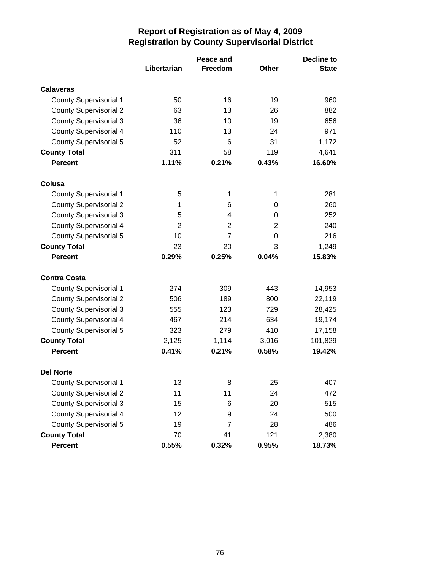|                               | Peace and      |                |              | <b>Decline to</b> |
|-------------------------------|----------------|----------------|--------------|-------------------|
|                               | Libertarian    | Freedom        | <b>Other</b> | <b>State</b>      |
| <b>Calaveras</b>              |                |                |              |                   |
| <b>County Supervisorial 1</b> | 50             | 16             | 19           | 960               |
| <b>County Supervisorial 2</b> | 63             | 13             | 26           | 882               |
| <b>County Supervisorial 3</b> | 36             | 10             | 19           | 656               |
| <b>County Supervisorial 4</b> | 110            | 13             | 24           | 971               |
| <b>County Supervisorial 5</b> | 52             | 6              | 31           | 1,172             |
| <b>County Total</b>           | 311            | 58             | 119          | 4,641             |
| <b>Percent</b>                | 1.11%          | 0.21%          | 0.43%        | 16.60%            |
| Colusa                        |                |                |              |                   |
| <b>County Supervisorial 1</b> | 5              | 1              | 1            | 281               |
| <b>County Supervisorial 2</b> | 1              | 6              | 0            | 260               |
| <b>County Supervisorial 3</b> | 5              | 4              | 0            | 252               |
| County Supervisorial 4        | $\overline{2}$ | 2              | 2            | 240               |
| <b>County Supervisorial 5</b> | 10             | $\overline{7}$ | 0            | 216               |
| <b>County Total</b>           | 23             | 20             | 3            | 1,249             |
| <b>Percent</b>                | 0.29%          | 0.25%          | 0.04%        | 15.83%            |
| <b>Contra Costa</b>           |                |                |              |                   |
| <b>County Supervisorial 1</b> | 274            | 309            | 443          | 14,953            |
| <b>County Supervisorial 2</b> | 506            | 189            | 800          | 22,119            |
| <b>County Supervisorial 3</b> | 555            | 123            | 729          | 28,425            |
| County Supervisorial 4        | 467            | 214            | 634          | 19,174            |
| County Supervisorial 5        | 323            | 279            | 410          | 17,158            |
| <b>County Total</b>           | 2,125          | 1,114          | 3,016        | 101,829           |
| <b>Percent</b>                | 0.41%          | 0.21%          | 0.58%        | 19.42%            |
| <b>Del Norte</b>              |                |                |              |                   |
| <b>County Supervisorial 1</b> | 13             | 8              | 25           | 407               |
| <b>County Supervisorial 2</b> | 11             | 11             | 24           | 472               |
| <b>County Supervisorial 3</b> | 15             | 6              | 20           | 515               |
| <b>County Supervisorial 4</b> | 12             | 9              | 24           | 500               |
| <b>County Supervisorial 5</b> | 19             | $\overline{7}$ | 28           | 486               |
| <b>County Total</b>           | 70             | 41             | 121          | 2,380             |
| Percent                       | 0.55%          | 0.32%          | 0.95%        | 18.73%            |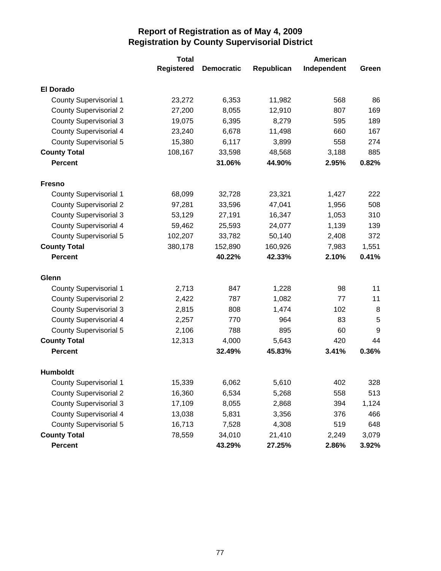|                               | <b>Total</b>      |                   |            | American    |       |
|-------------------------------|-------------------|-------------------|------------|-------------|-------|
|                               | <b>Registered</b> | <b>Democratic</b> | Republican | Independent | Green |
| <b>El Dorado</b>              |                   |                   |            |             |       |
| <b>County Supervisorial 1</b> | 23,272            | 6,353             | 11,982     | 568         | 86    |
| <b>County Supervisorial 2</b> | 27,200            | 8,055             | 12,910     | 807         | 169   |
| <b>County Supervisorial 3</b> | 19,075            | 6,395             | 8,279      | 595         | 189   |
| <b>County Supervisorial 4</b> | 23,240            | 6,678             | 11,498     | 660         | 167   |
| County Supervisorial 5        | 15,380            | 6,117             | 3,899      | 558         | 274   |
| <b>County Total</b>           | 108,167           | 33,598            | 48,568     | 3,188       | 885   |
| <b>Percent</b>                |                   | 31.06%            | 44.90%     | 2.95%       | 0.82% |
| <b>Fresno</b>                 |                   |                   |            |             |       |
| <b>County Supervisorial 1</b> | 68,099            | 32,728            | 23,321     | 1,427       | 222   |
| <b>County Supervisorial 2</b> | 97,281            | 33,596            | 47,041     | 1,956       | 508   |
| <b>County Supervisorial 3</b> | 53,129            | 27,191            | 16,347     | 1,053       | 310   |
| <b>County Supervisorial 4</b> | 59,462            | 25,593            | 24,077     | 1,139       | 139   |
| County Supervisorial 5        | 102,207           | 33,782            | 50,140     | 2,408       | 372   |
| <b>County Total</b>           | 380,178           | 152,890           | 160,926    | 7,983       | 1,551 |
| <b>Percent</b>                |                   | 40.22%            | 42.33%     | 2.10%       | 0.41% |
| Glenn                         |                   |                   |            |             |       |
| <b>County Supervisorial 1</b> | 2,713             | 847               | 1,228      | 98          | 11    |
| <b>County Supervisorial 2</b> | 2,422             | 787               | 1,082      | 77          | 11    |
| <b>County Supervisorial 3</b> | 2,815             | 808               | 1,474      | 102         | 8     |
| <b>County Supervisorial 4</b> | 2,257             | 770               | 964        | 83          | 5     |
| <b>County Supervisorial 5</b> | 2,106             | 788               | 895        | 60          | 9     |
| <b>County Total</b>           | 12,313            | 4,000             | 5,643      | 420         | 44    |
| <b>Percent</b>                |                   | 32.49%            | 45.83%     | 3.41%       | 0.36% |
| <b>Humboldt</b>               |                   |                   |            |             |       |
| <b>County Supervisorial 1</b> | 15,339            | 6,062             | 5,610      | 402         | 328   |
| <b>County Supervisorial 2</b> | 16,360            | 6,534             | 5,268      | 558         | 513   |
| <b>County Supervisorial 3</b> | 17,109            | 8,055             | 2,868      | 394         | 1,124 |
| <b>County Supervisorial 4</b> | 13,038            | 5,831             | 3,356      | 376         | 466   |
| <b>County Supervisorial 5</b> | 16,713            | 7,528             | 4,308      | 519         | 648   |
| <b>County Total</b>           | 78,559            | 34,010            | 21,410     | 2,249       | 3,079 |
| Percent                       |                   | 43.29%            | 27.25%     | 2.86%       | 3.92% |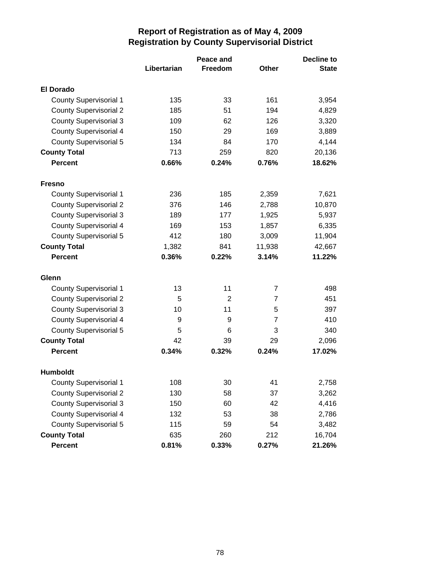|                               | Peace and   |         |                | <b>Decline to</b> |
|-------------------------------|-------------|---------|----------------|-------------------|
|                               | Libertarian | Freedom | <b>Other</b>   | <b>State</b>      |
| <b>El Dorado</b>              |             |         |                |                   |
| <b>County Supervisorial 1</b> | 135         | 33      | 161            | 3,954             |
| <b>County Supervisorial 2</b> | 185         | 51      | 194            | 4,829             |
| <b>County Supervisorial 3</b> | 109         | 62      | 126            | 3,320             |
| <b>County Supervisorial 4</b> | 150         | 29      | 169            | 3,889             |
| <b>County Supervisorial 5</b> | 134         | 84      | 170            | 4,144             |
| <b>County Total</b>           | 713         | 259     | 820            | 20,136            |
| <b>Percent</b>                | 0.66%       | 0.24%   | 0.76%          | 18.62%            |
| Fresno                        |             |         |                |                   |
| <b>County Supervisorial 1</b> | 236         | 185     | 2,359          | 7,621             |
| <b>County Supervisorial 2</b> | 376         | 146     | 2,788          | 10,870            |
| <b>County Supervisorial 3</b> | 189         | 177     | 1,925          | 5,937             |
| <b>County Supervisorial 4</b> | 169         | 153     | 1,857          | 6,335             |
| <b>County Supervisorial 5</b> | 412         | 180     | 3,009          | 11,904            |
| <b>County Total</b>           | 1,382       | 841     | 11,938         | 42,667            |
| <b>Percent</b>                | 0.36%       | 0.22%   | 3.14%          | 11.22%            |
| Glenn                         |             |         |                |                   |
| <b>County Supervisorial 1</b> | 13          | 11      | 7              | 498               |
| <b>County Supervisorial 2</b> | 5           | 2       | $\overline{7}$ | 451               |
| <b>County Supervisorial 3</b> | 10          | 11      | 5              | 397               |
| <b>County Supervisorial 4</b> | 9           | 9       | 7              | 410               |
| <b>County Supervisorial 5</b> | 5           | 6       | 3              | 340               |
| <b>County Total</b>           | 42          | 39      | 29             | 2,096             |
| <b>Percent</b>                | 0.34%       | 0.32%   | 0.24%          | 17.02%            |
| <b>Humboldt</b>               |             |         |                |                   |
| <b>County Supervisorial 1</b> | 108         | 30      | 41             | 2,758             |
| <b>County Supervisorial 2</b> | 130         | 58      | 37             | 3,262             |
| <b>County Supervisorial 3</b> | 150         | 60      | 42             | 4,416             |
| <b>County Supervisorial 4</b> | 132         | 53      | 38             | 2,786             |
| <b>County Supervisorial 5</b> | 115         | 59      | 54             | 3,482             |
| <b>County Total</b>           | 635         | 260     | 212            | 16,704            |
| Percent                       | 0.81%       | 0.33%   | 0.27%          | 21.26%            |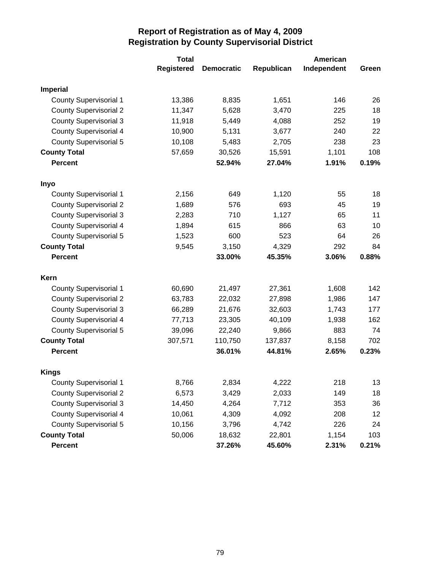|                               | <b>Total</b>      |                   |            | American    |       |
|-------------------------------|-------------------|-------------------|------------|-------------|-------|
|                               | <b>Registered</b> | <b>Democratic</b> | Republican | Independent | Green |
| <b>Imperial</b>               |                   |                   |            |             |       |
| <b>County Supervisorial 1</b> | 13,386            | 8,835             | 1,651      | 146         | 26    |
| <b>County Supervisorial 2</b> | 11,347            | 5,628             | 3,470      | 225         | 18    |
| <b>County Supervisorial 3</b> | 11,918            | 5,449             | 4,088      | 252         | 19    |
| <b>County Supervisorial 4</b> | 10,900            | 5,131             | 3,677      | 240         | 22    |
| <b>County Supervisorial 5</b> | 10,108            | 5,483             | 2,705      | 238         | 23    |
| <b>County Total</b>           | 57,659            | 30,526            | 15,591     | 1,101       | 108   |
| <b>Percent</b>                |                   | 52.94%            | 27.04%     | 1.91%       | 0.19% |
| Inyo                          |                   |                   |            |             |       |
| <b>County Supervisorial 1</b> | 2,156             | 649               | 1,120      | 55          | 18    |
| <b>County Supervisorial 2</b> | 1,689             | 576               | 693        | 45          | 19    |
| <b>County Supervisorial 3</b> | 2,283             | 710               | 1,127      | 65          | 11    |
| <b>County Supervisorial 4</b> | 1,894             | 615               | 866        | 63          | 10    |
| <b>County Supervisorial 5</b> | 1,523             | 600               | 523        | 64          | 26    |
| <b>County Total</b>           | 9,545             | 3,150             | 4,329      | 292         | 84    |
| <b>Percent</b>                |                   | 33.00%            | 45.35%     | 3.06%       | 0.88% |
| Kern                          |                   |                   |            |             |       |
| <b>County Supervisorial 1</b> | 60,690            | 21,497            | 27,361     | 1,608       | 142   |
| <b>County Supervisorial 2</b> | 63,783            | 22,032            | 27,898     | 1,986       | 147   |
| <b>County Supervisorial 3</b> | 66,289            | 21,676            | 32,603     | 1,743       | 177   |
| <b>County Supervisorial 4</b> | 77,713            | 23,305            | 40,109     | 1,938       | 162   |
| <b>County Supervisorial 5</b> | 39,096            | 22,240            | 9,866      | 883         | 74    |
| <b>County Total</b>           | 307,571           | 110,750           | 137,837    | 8,158       | 702   |
| <b>Percent</b>                |                   | 36.01%            | 44.81%     | 2.65%       | 0.23% |
| <b>Kings</b>                  |                   |                   |            |             |       |
| <b>County Supervisorial 1</b> | 8,766             | 2,834             | 4,222      | 218         | 13    |
| <b>County Supervisorial 2</b> | 6,573             | 3,429             | 2,033      | 149         | 18    |
| <b>County Supervisorial 3</b> | 14,450            | 4,264             | 7,712      | 353         | 36    |
| <b>County Supervisorial 4</b> | 10,061            | 4,309             | 4,092      | 208         | 12    |
| <b>County Supervisorial 5</b> | 10,156            | 3,796             | 4,742      | 226         | 24    |
| <b>County Total</b>           | 50,006            | 18,632            | 22,801     | 1,154       | 103   |
| Percent                       |                   | 37.26%            | 45.60%     | 2.31%       | 0.21% |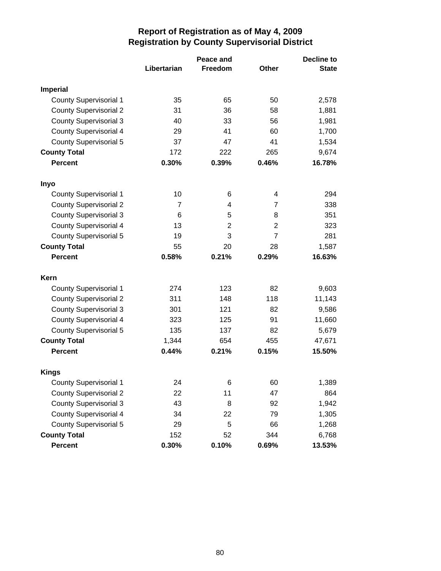|                               | Peace and      |         |                | <b>Decline to</b> |
|-------------------------------|----------------|---------|----------------|-------------------|
|                               | Libertarian    | Freedom | <b>Other</b>   | <b>State</b>      |
| <b>Imperial</b>               |                |         |                |                   |
| <b>County Supervisorial 1</b> | 35             | 65      | 50             | 2,578             |
| <b>County Supervisorial 2</b> | 31             | 36      | 58             | 1,881             |
| <b>County Supervisorial 3</b> | 40             | 33      | 56             | 1,981             |
| <b>County Supervisorial 4</b> | 29             | 41      | 60             | 1,700             |
| County Supervisorial 5        | 37             | 47      | 41             | 1,534             |
| <b>County Total</b>           | 172            | 222     | 265            | 9,674             |
| <b>Percent</b>                | 0.30%          | 0.39%   | 0.46%          | 16.78%            |
| Inyo                          |                |         |                |                   |
| <b>County Supervisorial 1</b> | 10             | 6       | 4              | 294               |
| <b>County Supervisorial 2</b> | $\overline{7}$ | 4       | $\overline{7}$ | 338               |
| <b>County Supervisorial 3</b> | 6              | 5       | 8              | 351               |
| <b>County Supervisorial 4</b> | 13             | 2       | $\overline{2}$ | 323               |
| <b>County Supervisorial 5</b> | 19             | 3       | $\overline{7}$ | 281               |
| <b>County Total</b>           | 55             | 20      | 28             | 1,587             |
| <b>Percent</b>                | 0.58%          | 0.21%   | 0.29%          | 16.63%            |
| Kern                          |                |         |                |                   |
| <b>County Supervisorial 1</b> | 274            | 123     | 82             | 9,603             |
| <b>County Supervisorial 2</b> | 311            | 148     | 118            | 11,143            |
| <b>County Supervisorial 3</b> | 301            | 121     | 82             | 9,586             |
| <b>County Supervisorial 4</b> | 323            | 125     | 91             | 11,660            |
| County Supervisorial 5        | 135            | 137     | 82             | 5,679             |
| <b>County Total</b>           | 1,344          | 654     | 455            | 47,671            |
| <b>Percent</b>                | 0.44%          | 0.21%   | 0.15%          | 15.50%            |
| <b>Kings</b>                  |                |         |                |                   |
| <b>County Supervisorial 1</b> | 24             | 6       | 60             | 1,389             |
| <b>County Supervisorial 2</b> | 22             | 11      | 47             | 864               |
| <b>County Supervisorial 3</b> | 43             | 8       | 92             | 1,942             |
| <b>County Supervisorial 4</b> | 34             | 22      | 79             | 1,305             |
| <b>County Supervisorial 5</b> | 29             | 5       | 66             | 1,268             |
| <b>County Total</b>           | 152            | 52      | 344            | 6,768             |
| Percent                       | 0.30%          | 0.10%   | 0.69%          | 13.53%            |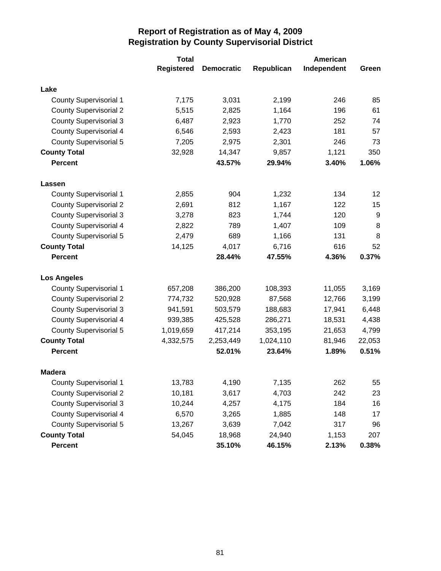|                               | <b>Total</b>      |                   |            | American    |        |
|-------------------------------|-------------------|-------------------|------------|-------------|--------|
|                               | <b>Registered</b> | <b>Democratic</b> | Republican | Independent | Green  |
| Lake                          |                   |                   |            |             |        |
| <b>County Supervisorial 1</b> | 7,175             | 3,031             | 2,199      | 246         | 85     |
| <b>County Supervisorial 2</b> | 5,515             | 2,825             | 1,164      | 196         | 61     |
| <b>County Supervisorial 3</b> | 6,487             | 2,923             | 1,770      | 252         | 74     |
| <b>County Supervisorial 4</b> | 6,546             | 2,593             | 2,423      | 181         | 57     |
| <b>County Supervisorial 5</b> | 7,205             | 2,975             | 2,301      | 246         | 73     |
| <b>County Total</b>           | 32,928            | 14,347            | 9,857      | 1,121       | 350    |
| <b>Percent</b>                |                   | 43.57%            | 29.94%     | 3.40%       | 1.06%  |
| Lassen                        |                   |                   |            |             |        |
| <b>County Supervisorial 1</b> | 2,855             | 904               | 1,232      | 134         | 12     |
| <b>County Supervisorial 2</b> | 2,691             | 812               | 1,167      | 122         | 15     |
| <b>County Supervisorial 3</b> | 3,278             | 823               | 1,744      | 120         | 9      |
| <b>County Supervisorial 4</b> | 2,822             | 789               | 1,407      | 109         | 8      |
| <b>County Supervisorial 5</b> | 2,479             | 689               | 1,166      | 131         | 8      |
| <b>County Total</b>           | 14,125            | 4,017             | 6,716      | 616         | 52     |
| <b>Percent</b>                |                   | 28.44%            | 47.55%     | 4.36%       | 0.37%  |
| <b>Los Angeles</b>            |                   |                   |            |             |        |
| <b>County Supervisorial 1</b> | 657,208           | 386,200           | 108,393    | 11,055      | 3,169  |
| <b>County Supervisorial 2</b> | 774,732           | 520,928           | 87,568     | 12,766      | 3,199  |
| <b>County Supervisorial 3</b> | 941,591           | 503,579           | 188,683    | 17,941      | 6,448  |
| <b>County Supervisorial 4</b> | 939,385           | 425,528           | 286,271    | 18,531      | 4,438  |
| <b>County Supervisorial 5</b> | 1,019,659         | 417,214           | 353,195    | 21,653      | 4,799  |
| <b>County Total</b>           | 4,332,575         | 2,253,449         | 1,024,110  | 81,946      | 22,053 |
| <b>Percent</b>                |                   | 52.01%            | 23.64%     | 1.89%       | 0.51%  |
| <b>Madera</b>                 |                   |                   |            |             |        |
| <b>County Supervisorial 1</b> | 13,783            | 4,190             | 7,135      | 262         | 55     |
| <b>County Supervisorial 2</b> | 10,181            | 3,617             | 4,703      | 242         | 23     |
| <b>County Supervisorial 3</b> | 10,244            | 4,257             | 4,175      | 184         | 16     |
| <b>County Supervisorial 4</b> | 6,570             | 3,265             | 1,885      | 148         | 17     |
| <b>County Supervisorial 5</b> | 13,267            | 3,639             | 7,042      | 317         | 96     |
| <b>County Total</b>           | 54,045            | 18,968            | 24,940     | 1,153       | 207    |
| Percent                       |                   | 35.10%            | 46.15%     | 2.13%       | 0.38%  |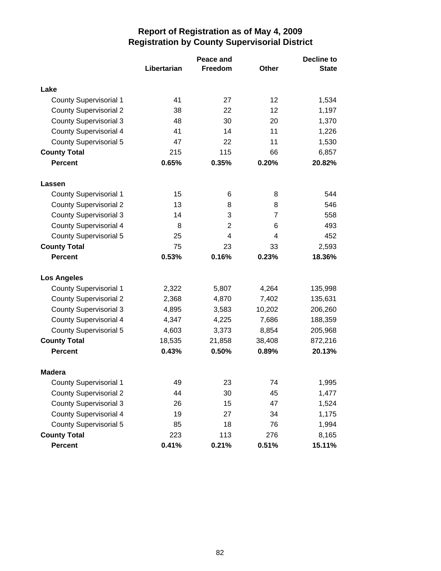|                               | Peace and   |         |        | <b>Decline to</b> |  |
|-------------------------------|-------------|---------|--------|-------------------|--|
|                               | Libertarian | Freedom | Other  | <b>State</b>      |  |
|                               |             |         |        |                   |  |
| Lake                          |             |         |        |                   |  |
| <b>County Supervisorial 1</b> | 41          | 27      | 12     | 1,534             |  |
| <b>County Supervisorial 2</b> | 38          | 22      | 12     | 1,197             |  |
| <b>County Supervisorial 3</b> | 48          | 30      | 20     | 1,370             |  |
| <b>County Supervisorial 4</b> | 41          | 14      | 11     | 1,226             |  |
| <b>County Supervisorial 5</b> | 47          | 22      | 11     | 1,530             |  |
| <b>County Total</b>           | 215         | 115     | 66     | 6,857             |  |
| <b>Percent</b>                | 0.65%       | 0.35%   | 0.20%  | 20.82%            |  |
| Lassen                        |             |         |        |                   |  |
| <b>County Supervisorial 1</b> | 15          | 6       | 8      | 544               |  |
| <b>County Supervisorial 2</b> | 13          | 8       | 8      | 546               |  |
| <b>County Supervisorial 3</b> | 14          | 3       | 7      | 558               |  |
| <b>County Supervisorial 4</b> | 8           | 2       | 6      | 493               |  |
| County Supervisorial 5        | 25          | 4       | 4      | 452               |  |
| <b>County Total</b>           | 75          | 23      | 33     | 2,593             |  |
| <b>Percent</b>                | 0.53%       | 0.16%   | 0.23%  | 18.36%            |  |
| <b>Los Angeles</b>            |             |         |        |                   |  |
| <b>County Supervisorial 1</b> | 2,322       | 5,807   | 4,264  | 135,998           |  |
| <b>County Supervisorial 2</b> | 2,368       | 4,870   | 7,402  | 135,631           |  |
| <b>County Supervisorial 3</b> | 4,895       | 3,583   | 10,202 | 206,260           |  |
| <b>County Supervisorial 4</b> | 4,347       | 4,225   | 7,686  | 188,359           |  |
| <b>County Supervisorial 5</b> | 4,603       | 3,373   | 8,854  | 205,968           |  |
| <b>County Total</b>           | 18,535      | 21,858  | 38,408 | 872,216           |  |
| <b>Percent</b>                | 0.43%       | 0.50%   | 0.89%  | 20.13%            |  |
| <b>Madera</b>                 |             |         |        |                   |  |
| <b>County Supervisorial 1</b> | 49          | 23      | 74     | 1,995             |  |
| <b>County Supervisorial 2</b> | 44          | 30      | 45     | 1,477             |  |
| <b>County Supervisorial 3</b> | 26          | 15      | 47     | 1,524             |  |
| <b>County Supervisorial 4</b> | 19          | 27      | 34     | 1,175             |  |
| <b>County Supervisorial 5</b> | 85          | 18      | 76     | 1,994             |  |
| <b>County Total</b>           | 223         | 113     | 276    | 8,165             |  |
| Percent                       | 0.41%       | 0.21%   | 0.51%  | 15.11%            |  |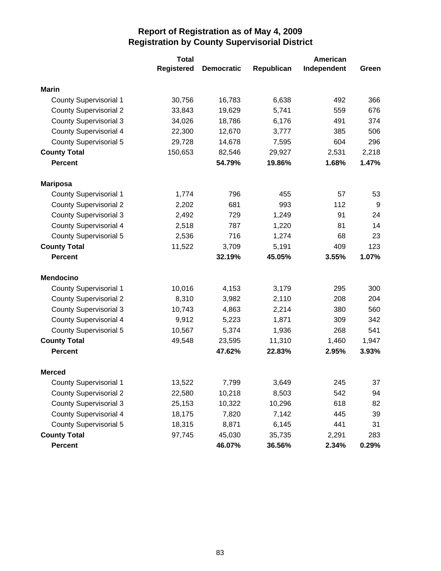|                               | <b>Total</b>      |                   |            | American    |       |
|-------------------------------|-------------------|-------------------|------------|-------------|-------|
|                               | <b>Registered</b> | <b>Democratic</b> | Republican | Independent | Green |
| <b>Marin</b>                  |                   |                   |            |             |       |
| <b>County Supervisorial 1</b> | 30,756            | 16,783            | 6,638      | 492         | 366   |
| <b>County Supervisorial 2</b> | 33,843            | 19,629            | 5,741      | 559         | 676   |
| <b>County Supervisorial 3</b> | 34,026            | 18,786            | 6,176      | 491         | 374   |
| <b>County Supervisorial 4</b> | 22,300            | 12,670            | 3,777      | 385         | 506   |
| <b>County Supervisorial 5</b> | 29,728            | 14,678            | 7,595      | 604         | 296   |
| <b>County Total</b>           | 150,653           | 82,546            | 29,927     | 2,531       | 2,218 |
| <b>Percent</b>                |                   | 54.79%            | 19.86%     | 1.68%       | 1.47% |
| <b>Mariposa</b>               |                   |                   |            |             |       |
| <b>County Supervisorial 1</b> | 1,774             | 796               | 455        | 57          | 53    |
| <b>County Supervisorial 2</b> | 2,202             | 681               | 993        | 112         | 9     |
| <b>County Supervisorial 3</b> | 2,492             | 729               | 1,249      | 91          | 24    |
| <b>County Supervisorial 4</b> | 2,518             | 787               | 1,220      | 81          | 14    |
| <b>County Supervisorial 5</b> | 2,536             | 716               | 1,274      | 68          | 23    |
| <b>County Total</b>           | 11,522            | 3,709             | 5,191      | 409         | 123   |
| <b>Percent</b>                |                   | 32.19%            | 45.05%     | 3.55%       | 1.07% |
| <b>Mendocino</b>              |                   |                   |            |             |       |
| <b>County Supervisorial 1</b> | 10,016            | 4,153             | 3,179      | 295         | 300   |
| <b>County Supervisorial 2</b> | 8,310             | 3,982             | 2,110      | 208         | 204   |
| <b>County Supervisorial 3</b> | 10,743            | 4,863             | 2,214      | 380         | 560   |
| <b>County Supervisorial 4</b> | 9,912             | 5,223             | 1,871      | 309         | 342   |
| <b>County Supervisorial 5</b> | 10,567            | 5,374             | 1,936      | 268         | 541   |
| <b>County Total</b>           | 49,548            | 23,595            | 11,310     | 1,460       | 1,947 |
| <b>Percent</b>                |                   | 47.62%            | 22.83%     | 2.95%       | 3.93% |
| <b>Merced</b>                 |                   |                   |            |             |       |
| <b>County Supervisorial 1</b> | 13,522            | 7,799             | 3,649      | 245         | 37    |
| <b>County Supervisorial 2</b> | 22,580            | 10,218            | 8,503      | 542         | 94    |
| <b>County Supervisorial 3</b> | 25,153            | 10,322            | 10,296     | 618         | 82    |
| <b>County Supervisorial 4</b> | 18,175            | 7,820             | 7,142      | 445         | 39    |
| <b>County Supervisorial 5</b> | 18,315            | 8,871             | 6,145      | 441         | 31    |
| <b>County Total</b>           | 97,745            | 45,030            | 35,735     | 2,291       | 283   |
| Percent                       |                   | 46.07%            | 36.56%     | 2.34%       | 0.29% |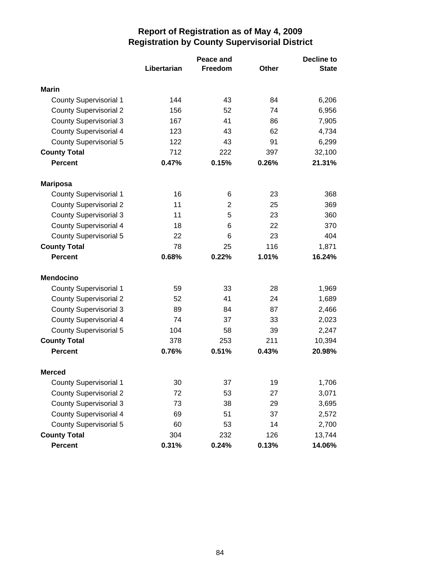|                               | Peace and   |          |              | <b>Decline to</b> |
|-------------------------------|-------------|----------|--------------|-------------------|
|                               | Libertarian | Freedom  | <b>Other</b> | <b>State</b>      |
| Marin                         |             |          |              |                   |
|                               |             |          |              |                   |
| <b>County Supervisorial 1</b> | 144         | 43       | 84<br>74     | 6,206             |
| <b>County Supervisorial 2</b> | 156         | 52<br>41 |              | 6,956             |
| <b>County Supervisorial 3</b> | 167         |          | 86           | 7,905             |
| <b>County Supervisorial 4</b> | 123         | 43       | 62           | 4,734             |
| County Supervisorial 5        | 122         | 43       | 91           | 6,299             |
| <b>County Total</b>           | 712         | 222      | 397          | 32,100            |
| <b>Percent</b>                | 0.47%       | 0.15%    | 0.26%        | 21.31%            |
| <b>Mariposa</b>               |             |          |              |                   |
| <b>County Supervisorial 1</b> | 16          | 6        | 23           | 368               |
| <b>County Supervisorial 2</b> | 11          | 2        | 25           | 369               |
| <b>County Supervisorial 3</b> | 11          | 5        | 23           | 360               |
| <b>County Supervisorial 4</b> | 18          | 6        | 22           | 370               |
| <b>County Supervisorial 5</b> | 22          | 6        | 23           | 404               |
| <b>County Total</b>           | 78          | 25       | 116          | 1,871             |
| <b>Percent</b>                | 0.68%       | 0.22%    | 1.01%        | 16.24%            |
| <b>Mendocino</b>              |             |          |              |                   |
| <b>County Supervisorial 1</b> | 59          | 33       | 28           | 1,969             |
| <b>County Supervisorial 2</b> | 52          | 41       | 24           | 1,689             |
| <b>County Supervisorial 3</b> | 89          | 84       | 87           | 2,466             |
| County Supervisorial 4        | 74          | 37       | 33           | 2,023             |
| <b>County Supervisorial 5</b> | 104         | 58       | 39           | 2,247             |
| <b>County Total</b>           | 378         | 253      | 211          | 10,394            |
| <b>Percent</b>                | 0.76%       | 0.51%    | 0.43%        | 20.98%            |
| <b>Merced</b>                 |             |          |              |                   |
| <b>County Supervisorial 1</b> | 30          | 37       | 19           | 1,706             |
| <b>County Supervisorial 2</b> | 72          | 53       | 27           | 3,071             |
| <b>County Supervisorial 3</b> | 73          | 38       | 29           | 3,695             |
| <b>County Supervisorial 4</b> | 69          | 51       | 37           | 2,572             |
| <b>County Supervisorial 5</b> | 60          | 53       | 14           | 2,700             |
| <b>County Total</b>           | 304         | 232      | 126          | 13,744            |
| Percent                       | 0.31%       | 0.24%    | 0.13%        | 14.06%            |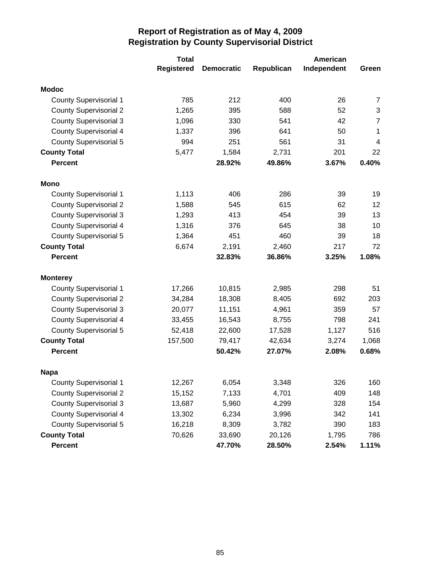|                               | <b>Total</b>      |                   |            | American    |                         |
|-------------------------------|-------------------|-------------------|------------|-------------|-------------------------|
|                               | <b>Registered</b> | <b>Democratic</b> | Republican | Independent | Green                   |
| <b>Modoc</b>                  |                   |                   |            |             |                         |
| <b>County Supervisorial 1</b> | 785               | 212               | 400        | 26          | $\overline{7}$          |
| <b>County Supervisorial 2</b> | 1,265             | 395               | 588        | 52          | 3                       |
| <b>County Supervisorial 3</b> | 1,096             | 330               | 541        | 42          | $\overline{7}$          |
| <b>County Supervisorial 4</b> | 1,337             | 396               | 641        | 50          | 1                       |
| County Supervisorial 5        | 994               | 251               | 561        | 31          | $\overline{\mathbf{4}}$ |
| <b>County Total</b>           | 5,477             | 1,584             | 2,731      | 201         | 22                      |
| <b>Percent</b>                |                   | 28.92%            | 49.86%     | 3.67%       | 0.40%                   |
| Mono                          |                   |                   |            |             |                         |
| <b>County Supervisorial 1</b> | 1,113             | 406               | 286        | 39          | 19                      |
| <b>County Supervisorial 2</b> | 1,588             | 545               | 615        | 62          | 12                      |
| <b>County Supervisorial 3</b> | 1,293             | 413               | 454        | 39          | 13                      |
| <b>County Supervisorial 4</b> | 1,316             | 376               | 645        | 38          | 10                      |
| <b>County Supervisorial 5</b> | 1,364             | 451               | 460        | 39          | 18                      |
| <b>County Total</b>           | 6,674             | 2,191             | 2,460      | 217         | 72                      |
| <b>Percent</b>                |                   | 32.83%            | 36.86%     | 3.25%       | 1.08%                   |
| <b>Monterey</b>               |                   |                   |            |             |                         |
| <b>County Supervisorial 1</b> | 17,266            | 10,815            | 2,985      | 298         | 51                      |
| <b>County Supervisorial 2</b> | 34,284            | 18,308            | 8,405      | 692         | 203                     |
| <b>County Supervisorial 3</b> | 20,077            | 11,151            | 4,961      | 359         | 57                      |
| <b>County Supervisorial 4</b> | 33,455            | 16,543            | 8,755      | 798         | 241                     |
| <b>County Supervisorial 5</b> | 52,418            | 22,600            | 17,528     | 1,127       | 516                     |
| <b>County Total</b>           | 157,500           | 79,417            | 42,634     | 3,274       | 1,068                   |
| <b>Percent</b>                |                   | 50.42%            | 27.07%     | 2.08%       | 0.68%                   |
| <b>Napa</b>                   |                   |                   |            |             |                         |
| <b>County Supervisorial 1</b> | 12,267            | 6,054             | 3,348      | 326         | 160                     |
| <b>County Supervisorial 2</b> | 15,152            | 7,133             | 4,701      | 409         | 148                     |
| <b>County Supervisorial 3</b> | 13,687            | 5,960             | 4,299      | 328         | 154                     |
| <b>County Supervisorial 4</b> | 13,302            | 6,234             | 3,996      | 342         | 141                     |
| <b>County Supervisorial 5</b> | 16,218            | 8,309             | 3,782      | 390         | 183                     |
| <b>County Total</b>           | 70,626            | 33,690            | 20,126     | 1,795       | 786                     |
| Percent                       |                   | 47.70%            | 28.50%     | 2.54%       | 1.11%                   |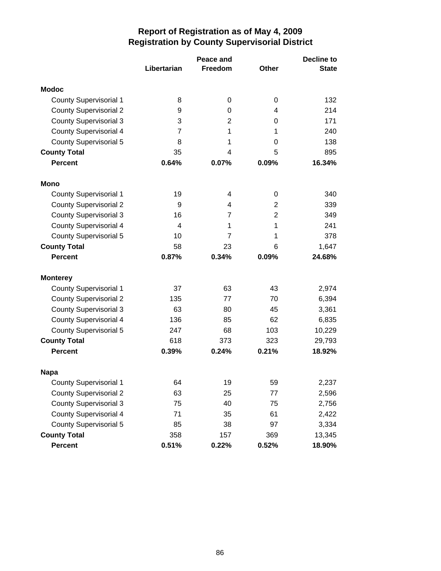|                               |                | <b>Decline to</b> |                |              |
|-------------------------------|----------------|-------------------|----------------|--------------|
|                               | Libertarian    | Freedom           | <b>Other</b>   | <b>State</b> |
| <b>Modoc</b>                  |                |                   |                |              |
| <b>County Supervisorial 1</b> | 8              | 0                 | 0              | 132          |
| <b>County Supervisorial 2</b> | 9              | 0                 | 4              | 214          |
| <b>County Supervisorial 3</b> | 3              | 2                 | 0              | 171          |
| <b>County Supervisorial 4</b> | $\overline{7}$ | 1                 | 1              | 240          |
| <b>County Supervisorial 5</b> | 8              | 1                 | 0              | 138          |
| <b>County Total</b>           | 35             | 4                 | 5              | 895          |
| <b>Percent</b>                | 0.64%          | 0.07%             | 0.09%          | 16.34%       |
| Mono                          |                |                   |                |              |
| <b>County Supervisorial 1</b> | 19             | 4                 | 0              | 340          |
| <b>County Supervisorial 2</b> | 9              | 4                 | 2              | 339          |
| <b>County Supervisorial 3</b> | 16             | $\overline{7}$    | $\overline{2}$ | 349          |
| <b>County Supervisorial 4</b> | 4              | 1                 | 1              | 241          |
| County Supervisorial 5        | 10             | $\overline{7}$    | 1              | 378          |
| <b>County Total</b>           | 58             | 23                | 6              | 1,647        |
| <b>Percent</b>                | 0.87%          | 0.34%             | 0.09%          | 24.68%       |
| <b>Monterey</b>               |                |                   |                |              |
| <b>County Supervisorial 1</b> | 37             | 63                | 43             | 2,974        |
| <b>County Supervisorial 2</b> | 135            | 77                | 70             | 6,394        |
| <b>County Supervisorial 3</b> | 63             | 80                | 45             | 3,361        |
| County Supervisorial 4        | 136            | 85                | 62             | 6,835        |
| County Supervisorial 5        | 247            | 68                | 103            | 10,229       |
| <b>County Total</b>           | 618            | 373               | 323            | 29,793       |
| <b>Percent</b>                | 0.39%          | 0.24%             | 0.21%          | 18.92%       |
| <b>Napa</b>                   |                |                   |                |              |
| <b>County Supervisorial 1</b> | 64             | 19                | 59             | 2,237        |
| <b>County Supervisorial 2</b> | 63             | 25                | 77             | 2,596        |
| <b>County Supervisorial 3</b> | 75             | 40                | 75             | 2,756        |
| <b>County Supervisorial 4</b> | 71             | 35                | 61             | 2,422        |
| <b>County Supervisorial 5</b> | 85             | 38                | 97             | 3,334        |
| <b>County Total</b>           | 358            | 157               | 369            | 13,345       |
| Percent                       | 0.51%          | 0.22%             | 0.52%          | 18.90%       |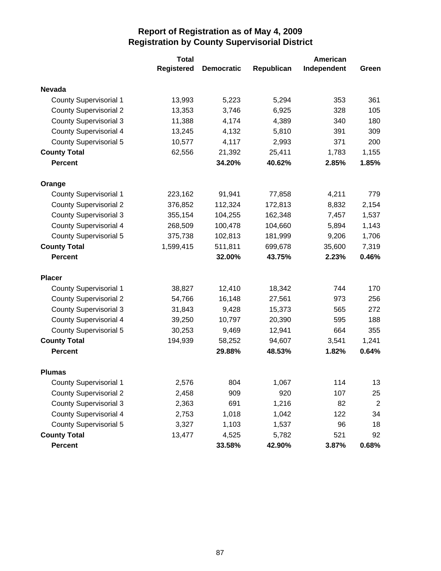|                               | <b>Total</b>      |                   |            | American    |                |
|-------------------------------|-------------------|-------------------|------------|-------------|----------------|
|                               | <b>Registered</b> | <b>Democratic</b> | Republican | Independent | Green          |
| <b>Nevada</b>                 |                   |                   |            |             |                |
| <b>County Supervisorial 1</b> | 13,993            | 5,223             | 5,294      | 353         | 361            |
| <b>County Supervisorial 2</b> | 13,353            | 3,746             | 6,925      | 328         | 105            |
| <b>County Supervisorial 3</b> | 11,388            | 4,174             | 4,389      | 340         | 180            |
| <b>County Supervisorial 4</b> | 13,245            | 4,132             | 5,810      | 391         | 309            |
| <b>County Supervisorial 5</b> | 10,577            | 4,117             | 2,993      | 371         | 200            |
| <b>County Total</b>           | 62,556            | 21,392            | 25,411     | 1,783       | 1,155          |
| <b>Percent</b>                |                   | 34.20%            | 40.62%     | 2.85%       | 1.85%          |
| Orange                        |                   |                   |            |             |                |
| <b>County Supervisorial 1</b> | 223,162           | 91,941            | 77,858     | 4,211       | 779            |
| <b>County Supervisorial 2</b> | 376,852           | 112,324           | 172,813    | 8,832       | 2,154          |
| <b>County Supervisorial 3</b> | 355,154           | 104,255           | 162,348    | 7,457       | 1,537          |
| County Supervisorial 4        | 268,509           | 100,478           | 104,660    | 5,894       | 1,143          |
| <b>County Supervisorial 5</b> | 375,738           | 102,813           | 181,999    | 9,206       | 1,706          |
| <b>County Total</b>           | 1,599,415         | 511,811           | 699,678    | 35,600      | 7,319          |
| <b>Percent</b>                |                   | 32.00%            | 43.75%     | 2.23%       | 0.46%          |
| <b>Placer</b>                 |                   |                   |            |             |                |
| <b>County Supervisorial 1</b> | 38,827            | 12,410            | 18,342     | 744         | 170            |
| <b>County Supervisorial 2</b> | 54,766            | 16,148            | 27,561     | 973         | 256            |
| <b>County Supervisorial 3</b> | 31,843            | 9,428             | 15,373     | 565         | 272            |
| <b>County Supervisorial 4</b> | 39,250            | 10,797            | 20,390     | 595         | 188            |
| <b>County Supervisorial 5</b> | 30,253            | 9,469             | 12,941     | 664         | 355            |
| <b>County Total</b>           | 194,939           | 58,252            | 94,607     | 3,541       | 1,241          |
| <b>Percent</b>                |                   | 29.88%            | 48.53%     | 1.82%       | 0.64%          |
| <b>Plumas</b>                 |                   |                   |            |             |                |
| <b>County Supervisorial 1</b> | 2,576             | 804               | 1,067      | 114         | 13             |
| <b>County Supervisorial 2</b> | 2,458             | 909               | 920        | 107         | 25             |
| <b>County Supervisorial 3</b> | 2,363             | 691               | 1,216      | 82          | $\overline{2}$ |
| <b>County Supervisorial 4</b> | 2,753             | 1,018             | 1,042      | 122         | 34             |
| <b>County Supervisorial 5</b> | 3,327             | 1,103             | 1,537      | 96          | 18             |
| <b>County Total</b>           | 13,477            | 4,525             | 5,782      | 521         | 92             |
| Percent                       |                   | 33.58%            | 42.90%     | 3.87%       | 0.68%          |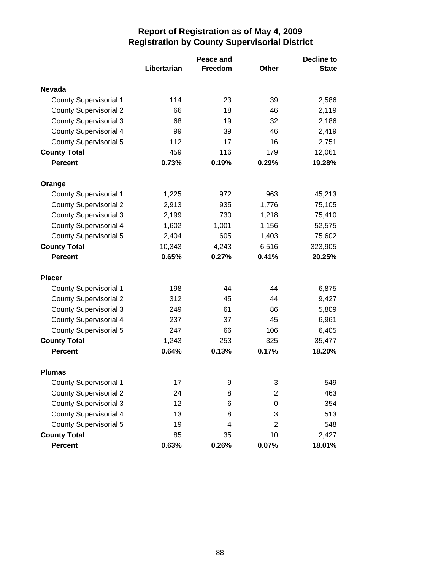|                               | Peace and   |         |                | <b>Decline to</b> |
|-------------------------------|-------------|---------|----------------|-------------------|
|                               | Libertarian | Freedom | <b>Other</b>   | <b>State</b>      |
| <b>Nevada</b>                 |             |         |                |                   |
| <b>County Supervisorial 1</b> | 114         | 23      | 39             | 2,586             |
| <b>County Supervisorial 2</b> | 66          | 18      | 46             | 2,119             |
| <b>County Supervisorial 3</b> | 68          | 19      | 32             | 2,186             |
| <b>County Supervisorial 4</b> | 99          | 39      | 46             | 2,419             |
| <b>County Supervisorial 5</b> | 112         | 17      | 16             | 2,751             |
| <b>County Total</b>           | 459         | 116     | 179            | 12,061            |
| <b>Percent</b>                | 0.73%       | 0.19%   | 0.29%          | 19.28%            |
| Orange                        |             |         |                |                   |
| <b>County Supervisorial 1</b> | 1,225       | 972     | 963            | 45,213            |
| <b>County Supervisorial 2</b> | 2,913       | 935     | 1,776          | 75,105            |
| <b>County Supervisorial 3</b> | 2,199       | 730     | 1,218          | 75,410            |
| <b>County Supervisorial 4</b> | 1,602       | 1,001   | 1,156          | 52,575            |
| <b>County Supervisorial 5</b> | 2,404       | 605     | 1,403          | 75,602            |
| <b>County Total</b>           | 10,343      | 4,243   | 6,516          | 323,905           |
| <b>Percent</b>                | 0.65%       | 0.27%   | 0.41%          | 20.25%            |
| <b>Placer</b>                 |             |         |                |                   |
| <b>County Supervisorial 1</b> | 198         | 44      | 44             | 6,875             |
| <b>County Supervisorial 2</b> | 312         | 45      | 44             | 9,427             |
| <b>County Supervisorial 3</b> | 249         | 61      | 86             | 5,809             |
| <b>County Supervisorial 4</b> | 237         | 37      | 45             | 6,961             |
| <b>County Supervisorial 5</b> | 247         | 66      | 106            | 6,405             |
| <b>County Total</b>           | 1,243       | 253     | 325            | 35,477            |
| <b>Percent</b>                | 0.64%       | 0.13%   | 0.17%          | 18.20%            |
| <b>Plumas</b>                 |             |         |                |                   |
| <b>County Supervisorial 1</b> | 17          | 9       | 3              | 549               |
| <b>County Supervisorial 2</b> | 24          | 8       | 2              | 463               |
| <b>County Supervisorial 3</b> | 12          | 6       | 0              | 354               |
| <b>County Supervisorial 4</b> | 13          | 8       | 3              | 513               |
| <b>County Supervisorial 5</b> | 19          | 4       | $\overline{2}$ | 548               |
| <b>County Total</b>           | 85          | 35      | 10             | 2,427             |
| <b>Percent</b>                | 0.63%       | 0.26%   | 0.07%          | 18.01%            |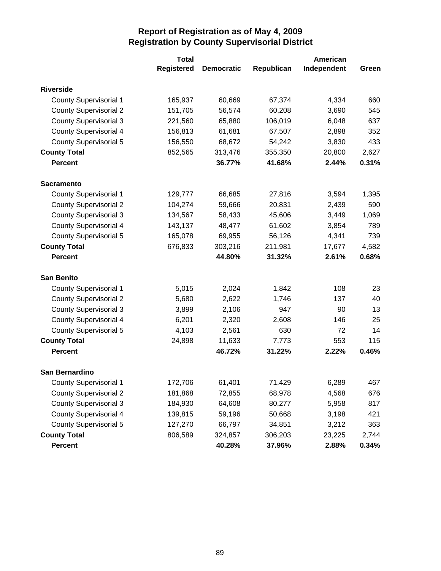|                               | <b>Total</b>      |                   |            | American    |       |  |
|-------------------------------|-------------------|-------------------|------------|-------------|-------|--|
|                               | <b>Registered</b> | <b>Democratic</b> | Republican | Independent | Green |  |
| <b>Riverside</b>              |                   |                   |            |             |       |  |
| <b>County Supervisorial 1</b> | 165,937           | 60,669            | 67,374     | 4,334       | 660   |  |
| <b>County Supervisorial 2</b> | 151,705           | 56,574            | 60,208     | 3,690       | 545   |  |
| <b>County Supervisorial 3</b> | 221,560           | 65,880            | 106,019    | 6,048       | 637   |  |
| <b>County Supervisorial 4</b> | 156,813           | 61,681            | 67,507     | 2,898       | 352   |  |
| <b>County Supervisorial 5</b> | 156,550           | 68,672            | 54,242     | 3,830       | 433   |  |
| <b>County Total</b>           | 852,565           | 313,476           | 355,350    | 20,800      | 2,627 |  |
| <b>Percent</b>                |                   | 36.77%            | 41.68%     | 2.44%       | 0.31% |  |
| <b>Sacramento</b>             |                   |                   |            |             |       |  |
| <b>County Supervisorial 1</b> | 129,777           | 66,685            | 27,816     | 3,594       | 1,395 |  |
| <b>County Supervisorial 2</b> | 104,274           | 59,666            | 20,831     | 2,439       | 590   |  |
| <b>County Supervisorial 3</b> | 134,567           | 58,433            | 45,606     | 3,449       | 1,069 |  |
| <b>County Supervisorial 4</b> | 143,137           | 48,477            | 61,602     | 3,854       | 789   |  |
| <b>County Supervisorial 5</b> | 165,078           | 69,955            | 56,126     | 4,341       | 739   |  |
| <b>County Total</b>           | 676,833           | 303,216           | 211,981    | 17,677      | 4,582 |  |
| <b>Percent</b>                |                   | 44.80%            | 31.32%     | 2.61%       | 0.68% |  |
| <b>San Benito</b>             |                   |                   |            |             |       |  |
| <b>County Supervisorial 1</b> | 5,015             | 2,024             | 1,842      | 108         | 23    |  |
| <b>County Supervisorial 2</b> | 5,680             | 2,622             | 1,746      | 137         | 40    |  |
| <b>County Supervisorial 3</b> | 3,899             | 2,106             | 947        | 90          | 13    |  |
| <b>County Supervisorial 4</b> | 6,201             | 2,320             | 2,608      | 146         | 25    |  |
| <b>County Supervisorial 5</b> | 4,103             | 2,561             | 630        | 72          | 14    |  |
| <b>County Total</b>           | 24,898            | 11,633            | 7,773      | 553         | 115   |  |
| <b>Percent</b>                |                   | 46.72%            | 31.22%     | 2.22%       | 0.46% |  |
| San Bernardino                |                   |                   |            |             |       |  |
| <b>County Supervisorial 1</b> | 172,706           | 61,401            | 71,429     | 6,289       | 467   |  |
| <b>County Supervisorial 2</b> | 181,868           | 72,855            | 68,978     | 4,568       | 676   |  |
| <b>County Supervisorial 3</b> | 184,930           | 64,608            | 80,277     | 5,958       | 817   |  |
| <b>County Supervisorial 4</b> | 139,815           | 59,196            | 50,668     | 3,198       | 421   |  |
| <b>County Supervisorial 5</b> | 127,270           | 66,797            | 34,851     | 3,212       | 363   |  |
| <b>County Total</b>           | 806,589           | 324,857           | 306,203    | 23,225      | 2,744 |  |
| Percent                       |                   | 40.28%            | 37.96%     | 2.88%       | 0.34% |  |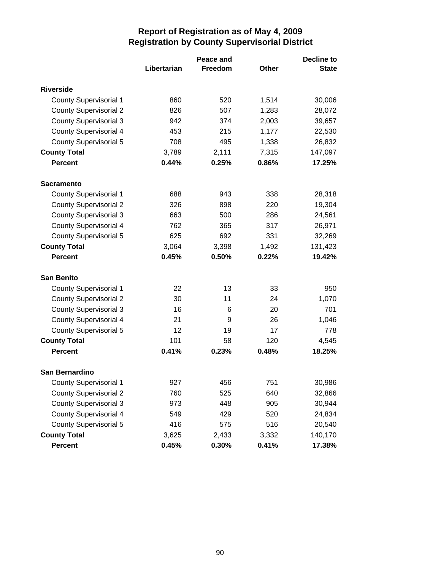|                               | Peace and   |         |       | <b>Decline to</b> |  |
|-------------------------------|-------------|---------|-------|-------------------|--|
|                               | Libertarian | Freedom | Other | <b>State</b>      |  |
| <b>Riverside</b>              |             |         |       |                   |  |
| <b>County Supervisorial 1</b> | 860         | 520     | 1,514 | 30,006            |  |
| <b>County Supervisorial 2</b> | 826         | 507     | 1,283 | 28,072            |  |
| <b>County Supervisorial 3</b> | 942         | 374     | 2,003 | 39,657            |  |
| <b>County Supervisorial 4</b> | 453         | 215     | 1,177 | 22,530            |  |
| <b>County Supervisorial 5</b> | 708         | 495     | 1,338 | 26,832            |  |
| <b>County Total</b>           | 3,789       | 2,111   | 7,315 | 147,097           |  |
| <b>Percent</b>                | 0.44%       | 0.25%   | 0.86% | 17.25%            |  |
| <b>Sacramento</b>             |             |         |       |                   |  |
| <b>County Supervisorial 1</b> | 688         | 943     | 338   | 28,318            |  |
| <b>County Supervisorial 2</b> | 326         | 898     | 220   | 19,304            |  |
| <b>County Supervisorial 3</b> | 663         | 500     | 286   | 24,561            |  |
| <b>County Supervisorial 4</b> | 762         | 365     | 317   | 26,971            |  |
| <b>County Supervisorial 5</b> | 625         | 692     | 331   | 32,269            |  |
| <b>County Total</b>           | 3,064       | 3,398   | 1,492 | 131,423           |  |
| <b>Percent</b>                | 0.45%       | 0.50%   | 0.22% | 19.42%            |  |
| <b>San Benito</b>             |             |         |       |                   |  |
| <b>County Supervisorial 1</b> | 22          | 13      | 33    | 950               |  |
| <b>County Supervisorial 2</b> | 30          | 11      | 24    | 1,070             |  |
| <b>County Supervisorial 3</b> | 16          | 6       | 20    | 701               |  |
| <b>County Supervisorial 4</b> | 21          | 9       | 26    | 1,046             |  |
| <b>County Supervisorial 5</b> | 12          | 19      | 17    | 778               |  |
| <b>County Total</b>           | 101         | 58      | 120   | 4,545             |  |
| <b>Percent</b>                | 0.41%       | 0.23%   | 0.48% | 18.25%            |  |
| <b>San Bernardino</b>         |             |         |       |                   |  |
| <b>County Supervisorial 1</b> | 927         | 456     | 751   | 30,986            |  |
| <b>County Supervisorial 2</b> | 760         | 525     | 640   | 32,866            |  |
| <b>County Supervisorial 3</b> | 973         | 448     | 905   | 30,944            |  |
| <b>County Supervisorial 4</b> | 549         | 429     | 520   | 24,834            |  |
| <b>County Supervisorial 5</b> | 416         | 575     | 516   | 20,540            |  |
| <b>County Total</b>           | 3,625       | 2,433   | 3,332 | 140,170           |  |
| <b>Percent</b>                | 0.45%       | 0.30%   | 0.41% | 17.38%            |  |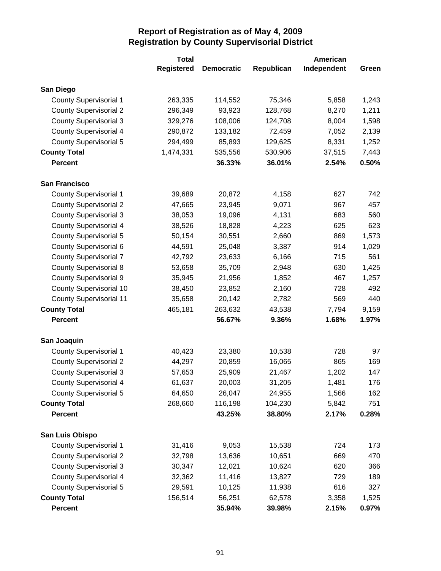|                                | <b>Total</b>      |                   |            | American    |       |
|--------------------------------|-------------------|-------------------|------------|-------------|-------|
|                                | <b>Registered</b> | <b>Democratic</b> | Republican | Independent | Green |
| San Diego                      |                   |                   |            |             |       |
| <b>County Supervisorial 1</b>  | 263,335           | 114,552           | 75,346     | 5,858       | 1,243 |
| <b>County Supervisorial 2</b>  | 296,349           | 93,923            | 128,768    | 8,270       | 1,211 |
| <b>County Supervisorial 3</b>  | 329,276           | 108,006           | 124,708    | 8,004       | 1,598 |
| <b>County Supervisorial 4</b>  | 290,872           | 133,182           | 72,459     | 7,052       | 2,139 |
| <b>County Supervisorial 5</b>  | 294,499           | 85,893            | 129,625    | 8,331       | 1,252 |
| <b>County Total</b>            | 1,474,331         | 535,556           | 530,906    | 37,515      | 7,443 |
| <b>Percent</b>                 |                   | 36.33%            | 36.01%     | 2.54%       | 0.50% |
| <b>San Francisco</b>           |                   |                   |            |             |       |
| <b>County Supervisorial 1</b>  | 39,689            | 20,872            | 4,158      | 627         | 742   |
| <b>County Supervisorial 2</b>  | 47,665            | 23,945            | 9,071      | 967         | 457   |
| <b>County Supervisorial 3</b>  | 38,053            | 19,096            | 4,131      | 683         | 560   |
| <b>County Supervisorial 4</b>  | 38,526            | 18,828            | 4,223      | 625         | 623   |
| <b>County Supervisorial 5</b>  | 50,154            | 30,551            | 2,660      | 869         | 1,573 |
| County Supervisorial 6         | 44,591            | 25,048            | 3,387      | 914         | 1,029 |
| <b>County Supervisorial 7</b>  | 42,792            | 23,633            | 6,166      | 715         | 561   |
| <b>County Supervisorial 8</b>  | 53,658            | 35,709            | 2,948      | 630         | 1,425 |
| <b>County Supervisorial 9</b>  | 35,945            | 21,956            | 1,852      | 467         | 1,257 |
| <b>County Supervisorial 10</b> | 38,450            | 23,852            | 2,160      | 728         | 492   |
| <b>County Supervisorial 11</b> | 35,658            | 20,142            | 2,782      | 569         | 440   |
| <b>County Total</b>            | 465,181           | 263,632           | 43,538     | 7,794       | 9,159 |
| <b>Percent</b>                 |                   | 56.67%            | 9.36%      | 1.68%       | 1.97% |
| San Joaquin                    |                   |                   |            |             |       |
| <b>County Supervisorial 1</b>  | 40,423            | 23,380            | 10,538     | 728         | 97    |
| <b>County Supervisorial 2</b>  | 44,297            | 20,859            | 16,065     | 865         | 169   |
| <b>County Supervisorial 3</b>  | 57,653            | 25,909            | 21,467     | 1,202       | 147   |
| <b>County Supervisorial 4</b>  | 61,637            | 20,003            | 31,205     | 1,481       | 176   |
| County Supervisorial 5         | 64,650            | 26,047            | 24,955     | 1,566       | 162   |
| <b>County Total</b>            | 268,660           | 116,198           | 104,230    | 5,842       | 751   |
| <b>Percent</b>                 |                   | 43.25%            | 38.80%     | 2.17%       | 0.28% |
| San Luis Obispo                |                   |                   |            |             |       |
| <b>County Supervisorial 1</b>  | 31,416            | 9,053             | 15,538     | 724         | 173   |
| <b>County Supervisorial 2</b>  | 32,798            | 13,636            | 10,651     | 669         | 470   |
| <b>County Supervisorial 3</b>  | 30,347            | 12,021            | 10,624     | 620         | 366   |
| <b>County Supervisorial 4</b>  | 32,362            | 11,416            | 13,827     | 729         | 189   |
| <b>County Supervisorial 5</b>  | 29,591            | 10,125            | 11,938     | 616         | 327   |
| <b>County Total</b>            | 156,514           | 56,251            | 62,578     | 3,358       | 1,525 |
| <b>Percent</b>                 |                   | 35.94%            | 39.98%     | 2.15%       | 0.97% |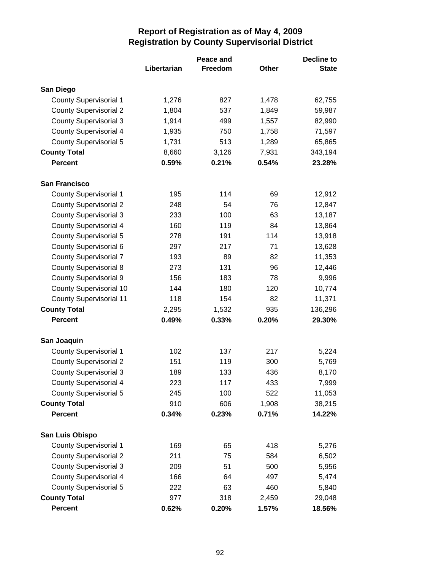|                                |             | Peace and      |              | <b>Decline to</b> |  |
|--------------------------------|-------------|----------------|--------------|-------------------|--|
|                                | Libertarian | <b>Freedom</b> | <b>Other</b> | <b>State</b>      |  |
| San Diego                      |             |                |              |                   |  |
| <b>County Supervisorial 1</b>  | 1,276       | 827            | 1,478        | 62,755            |  |
| <b>County Supervisorial 2</b>  | 1,804       | 537            | 1,849        | 59,987            |  |
| <b>County Supervisorial 3</b>  | 1,914       | 499            | 1,557        | 82,990            |  |
| <b>County Supervisorial 4</b>  | 1,935       | 750            | 1,758        | 71,597            |  |
| <b>County Supervisorial 5</b>  | 1,731       | 513            | 1,289        | 65,865            |  |
| <b>County Total</b>            | 8,660       | 3,126          | 7,931        | 343,194           |  |
| <b>Percent</b>                 | 0.59%       | 0.21%          | 0.54%        | 23.28%            |  |
| <b>San Francisco</b>           |             |                |              |                   |  |
| <b>County Supervisorial 1</b>  | 195         | 114            | 69           | 12,912            |  |
| <b>County Supervisorial 2</b>  | 248         | 54             | 76           | 12,847            |  |
| <b>County Supervisorial 3</b>  | 233         | 100            | 63           | 13,187            |  |
| <b>County Supervisorial 4</b>  | 160         | 119            | 84           | 13,864            |  |
| <b>County Supervisorial 5</b>  | 278         | 191            | 114          | 13,918            |  |
| <b>County Supervisorial 6</b>  | 297         | 217            | 71           | 13,628            |  |
| <b>County Supervisorial 7</b>  | 193         | 89             | 82           | 11,353            |  |
| <b>County Supervisorial 8</b>  | 273         | 131            | 96           | 12,446            |  |
| <b>County Supervisorial 9</b>  | 156         | 183            | 78           | 9,996             |  |
| <b>County Supervisorial 10</b> | 144         | 180            | 120          | 10,774            |  |
| <b>County Supervisorial 11</b> | 118         | 154            | 82           | 11,371            |  |
| <b>County Total</b>            | 2,295       | 1,532          | 935          | 136,296           |  |
| <b>Percent</b>                 | 0.49%       | 0.33%          | 0.20%        | 29.30%            |  |
| San Joaquin                    |             |                |              |                   |  |
| <b>County Supervisorial 1</b>  | 102         | 137            | 217          | 5,224             |  |
| <b>County Supervisorial 2</b>  | 151         | 119            | 300          | 5,769             |  |
| <b>County Supervisorial 3</b>  | 189         | 133            | 436          | 8,170             |  |
| <b>County Supervisorial 4</b>  | 223         | 117            | 433          | 7,999             |  |
| <b>County Supervisorial 5</b>  | 245         | 100            | 522          | 11,053            |  |
| <b>County Total</b>            | 910         | 606            | 1,908        | 38,215            |  |
| <b>Percent</b>                 | 0.34%       | 0.23%          | 0.71%        | 14.22%            |  |
| San Luis Obispo                |             |                |              |                   |  |
| <b>County Supervisorial 1</b>  | 169         | 65             | 418          | 5,276             |  |
| <b>County Supervisorial 2</b>  | 211         | 75             | 584          | 6,502             |  |
| <b>County Supervisorial 3</b>  | 209         | 51             | 500          | 5,956             |  |
| <b>County Supervisorial 4</b>  | 166         | 64             | 497          | 5,474             |  |
| <b>County Supervisorial 5</b>  | 222         | 63             | 460          | 5,840             |  |
| <b>County Total</b>            | 977         | 318            | 2,459        | 29,048            |  |
| <b>Percent</b>                 | 0.62%       | 0.20%          | 1.57%        | 18.56%            |  |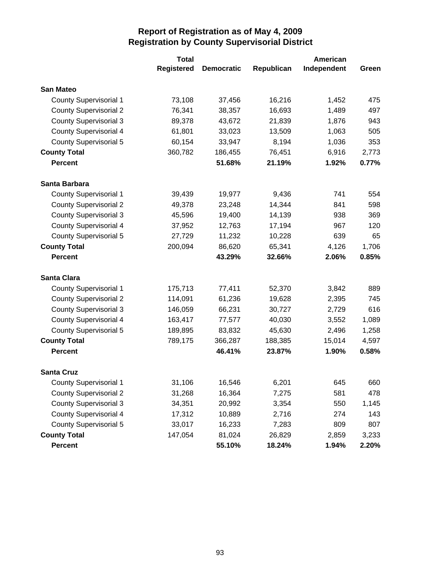|                               | <b>Total</b>      |                   |            | American    |       |
|-------------------------------|-------------------|-------------------|------------|-------------|-------|
|                               | <b>Registered</b> | <b>Democratic</b> | Republican | Independent | Green |
| <b>San Mateo</b>              |                   |                   |            |             |       |
| <b>County Supervisorial 1</b> | 73,108            | 37,456            | 16,216     | 1,452       | 475   |
| <b>County Supervisorial 2</b> | 76,341            | 38,357            | 16,693     | 1,489       | 497   |
| <b>County Supervisorial 3</b> | 89,378            | 43,672            | 21,839     | 1,876       | 943   |
| <b>County Supervisorial 4</b> | 61,801            | 33,023            | 13,509     | 1,063       | 505   |
| <b>County Supervisorial 5</b> | 60,154            | 33,947            | 8,194      | 1,036       | 353   |
| <b>County Total</b>           | 360,782           | 186,455           | 76,451     | 6,916       | 2,773 |
| <b>Percent</b>                |                   | 51.68%            | 21.19%     | 1.92%       | 0.77% |
| Santa Barbara                 |                   |                   |            |             |       |
| <b>County Supervisorial 1</b> | 39,439            | 19,977            | 9,436      | 741         | 554   |
| <b>County Supervisorial 2</b> | 49,378            | 23,248            | 14,344     | 841         | 598   |
| <b>County Supervisorial 3</b> | 45,596            | 19,400            | 14,139     | 938         | 369   |
| <b>County Supervisorial 4</b> | 37,952            | 12,763            | 17,194     | 967         | 120   |
| <b>County Supervisorial 5</b> | 27,729            | 11,232            | 10,228     | 639         | 65    |
| <b>County Total</b>           | 200,094           | 86,620            | 65,341     | 4,126       | 1,706 |
| <b>Percent</b>                |                   | 43.29%            | 32.66%     | 2.06%       | 0.85% |
| <b>Santa Clara</b>            |                   |                   |            |             |       |
| <b>County Supervisorial 1</b> | 175,713           | 77,411            | 52,370     | 3,842       | 889   |
| <b>County Supervisorial 2</b> | 114,091           | 61,236            | 19,628     | 2,395       | 745   |
| <b>County Supervisorial 3</b> | 146,059           | 66,231            | 30,727     | 2,729       | 616   |
| <b>County Supervisorial 4</b> | 163,417           | 77,577            | 40,030     | 3,552       | 1,089 |
| <b>County Supervisorial 5</b> | 189,895           | 83,832            | 45,630     | 2,496       | 1,258 |
| <b>County Total</b>           | 789,175           | 366,287           | 188,385    | 15,014      | 4,597 |
| <b>Percent</b>                |                   | 46.41%            | 23.87%     | 1.90%       | 0.58% |
| <b>Santa Cruz</b>             |                   |                   |            |             |       |
| <b>County Supervisorial 1</b> | 31,106            | 16,546            | 6,201      | 645         | 660   |
| <b>County Supervisorial 2</b> | 31,268            | 16,364            | 7,275      | 581         | 478   |
| <b>County Supervisorial 3</b> | 34,351            | 20,992            | 3,354      | 550         | 1,145 |
| <b>County Supervisorial 4</b> | 17,312            | 10,889            | 2,716      | 274         | 143   |
| <b>County Supervisorial 5</b> | 33,017            | 16,233            | 7,283      | 809         | 807   |
| <b>County Total</b>           | 147,054           | 81,024            | 26,829     | 2,859       | 3,233 |
| <b>Percent</b>                |                   | 55.10%            | 18.24%     | 1.94%       | 2.20% |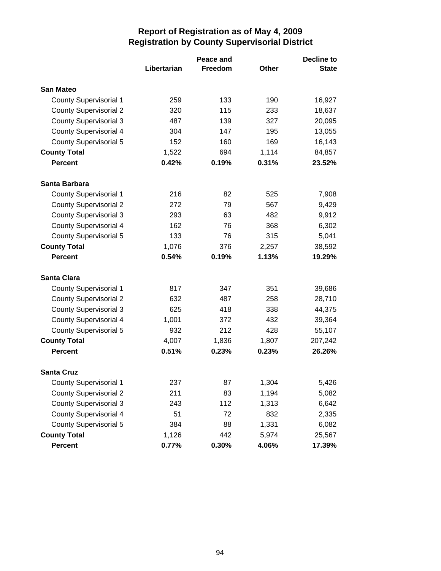|                               | Peace and   |         |              | <b>Decline to</b> |
|-------------------------------|-------------|---------|--------------|-------------------|
|                               | Libertarian | Freedom | <b>Other</b> | <b>State</b>      |
| <b>San Mateo</b>              |             |         |              |                   |
| <b>County Supervisorial 1</b> | 259         | 133     | 190          | 16,927            |
| <b>County Supervisorial 2</b> | 320         | 115     | 233          | 18,637            |
| <b>County Supervisorial 3</b> | 487         | 139     | 327          | 20,095            |
| <b>County Supervisorial 4</b> | 304         | 147     | 195          | 13,055            |
| <b>County Supervisorial 5</b> | 152         | 160     | 169          | 16,143            |
| <b>County Total</b>           | 1,522       | 694     | 1,114        | 84,857            |
| <b>Percent</b>                | 0.42%       | 0.19%   | 0.31%        | 23.52%            |
| Santa Barbara                 |             |         |              |                   |
| <b>County Supervisorial 1</b> | 216         | 82      | 525          | 7,908             |
| <b>County Supervisorial 2</b> | 272         | 79      | 567          | 9,429             |
| <b>County Supervisorial 3</b> | 293         | 63      | 482          | 9,912             |
| <b>County Supervisorial 4</b> | 162         | 76      | 368          | 6,302             |
| <b>County Supervisorial 5</b> | 133         | 76      | 315          | 5,041             |
| <b>County Total</b>           | 1,076       | 376     | 2,257        | 38,592            |
| <b>Percent</b>                | 0.54%       | 0.19%   | 1.13%        | 19.29%            |
| <b>Santa Clara</b>            |             |         |              |                   |
| <b>County Supervisorial 1</b> | 817         | 347     | 351          | 39,686            |
| <b>County Supervisorial 2</b> | 632         | 487     | 258          | 28,710            |
| <b>County Supervisorial 3</b> | 625         | 418     | 338          | 44,375            |
| <b>County Supervisorial 4</b> | 1,001       | 372     | 432          | 39,364            |
| <b>County Supervisorial 5</b> | 932         | 212     | 428          | 55,107            |
| <b>County Total</b>           | 4,007       | 1,836   | 1,807        | 207,242           |
| <b>Percent</b>                | 0.51%       | 0.23%   | 0.23%        | 26.26%            |
| <b>Santa Cruz</b>             |             |         |              |                   |
| <b>County Supervisorial 1</b> | 237         | 87      | 1,304        | 5,426             |
| <b>County Supervisorial 2</b> | 211         | 83      | 1,194        | 5,082             |
| <b>County Supervisorial 3</b> | 243         | 112     | 1,313        | 6,642             |
| <b>County Supervisorial 4</b> | 51          | 72      | 832          | 2,335             |
| <b>County Supervisorial 5</b> | 384         | 88      | 1,331        | 6,082             |
| <b>County Total</b>           | 1,126       | 442     | 5,974        | 25,567            |
| <b>Percent</b>                | 0.77%       | 0.30%   | 4.06%        | 17.39%            |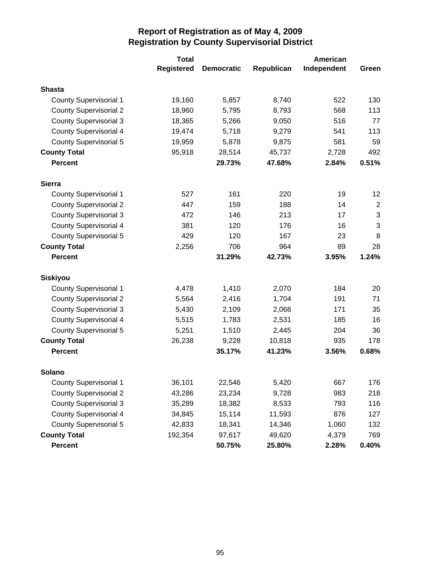|                               | <b>Total</b>      |                   |            | American    |                |
|-------------------------------|-------------------|-------------------|------------|-------------|----------------|
|                               | <b>Registered</b> | <b>Democratic</b> | Republican | Independent | Green          |
| <b>Shasta</b>                 |                   |                   |            |             |                |
| <b>County Supervisorial 1</b> | 19,160            | 5,857             | 8,740      | 522         | 130            |
| <b>County Supervisorial 2</b> | 18,960            | 5,795             | 8,793      | 568         | 113            |
| <b>County Supervisorial 3</b> | 18,365            | 5,266             | 9,050      | 516         | 77             |
| <b>County Supervisorial 4</b> | 19,474            | 5,718             | 9,279      | 541         | 113            |
| <b>County Supervisorial 5</b> | 19,959            | 5,878             | 9,875      | 581         | 59             |
| <b>County Total</b>           | 95,918            | 28,514            | 45,737     | 2,728       | 492            |
| <b>Percent</b>                |                   | 29.73%            | 47.68%     | 2.84%       | 0.51%          |
| <b>Sierra</b>                 |                   |                   |            |             |                |
| <b>County Supervisorial 1</b> | 527               | 161               | 220        | 19          | 12             |
| <b>County Supervisorial 2</b> | 447               | 159               | 188        | 14          | $\overline{2}$ |
| <b>County Supervisorial 3</b> | 472               | 146               | 213        | 17          | 3              |
| <b>County Supervisorial 4</b> | 381               | 120               | 176        | 16          | 3              |
| <b>County Supervisorial 5</b> | 429               | 120               | 167        | 23          | 8              |
| <b>County Total</b>           | 2,256             | 706               | 964        | 89          | 28             |
| <b>Percent</b>                |                   | 31.29%            | 42.73%     | 3.95%       | 1.24%          |
| <b>Siskiyou</b>               |                   |                   |            |             |                |
| <b>County Supervisorial 1</b> | 4,478             | 1,410             | 2,070      | 184         | 20             |
| <b>County Supervisorial 2</b> | 5,564             | 2,416             | 1,704      | 191         | 71             |
| <b>County Supervisorial 3</b> | 5,430             | 2,109             | 2,068      | 171         | 35             |
| <b>County Supervisorial 4</b> | 5,515             | 1,783             | 2,531      | 185         | 16             |
| <b>County Supervisorial 5</b> | 5,251             | 1,510             | 2,445      | 204         | 36             |
| <b>County Total</b>           | 26,238            | 9,228             | 10,818     | 935         | 178            |
| <b>Percent</b>                |                   | 35.17%            | 41.23%     | 3.56%       | 0.68%          |
| <b>Solano</b>                 |                   |                   |            |             |                |
| <b>County Supervisorial 1</b> | 36,101            | 22,546            | 5,420      | 667         | 176            |
| <b>County Supervisorial 2</b> | 43,286            | 23,234            | 9,728      | 983         | 218            |
| <b>County Supervisorial 3</b> | 35,289            | 18,382            | 8,533      | 793         | 116            |
| <b>County Supervisorial 4</b> | 34,845            | 15,114            | 11,593     | 876         | 127            |
| <b>County Supervisorial 5</b> | 42,833            | 18,341            | 14,346     | 1,060       | 132            |
| <b>County Total</b>           | 192,354           | 97,617            | 49,620     | 4,379       | 769            |
| Percent                       |                   | 50.75%            | 25.80%     | 2.28%       | 0.40%          |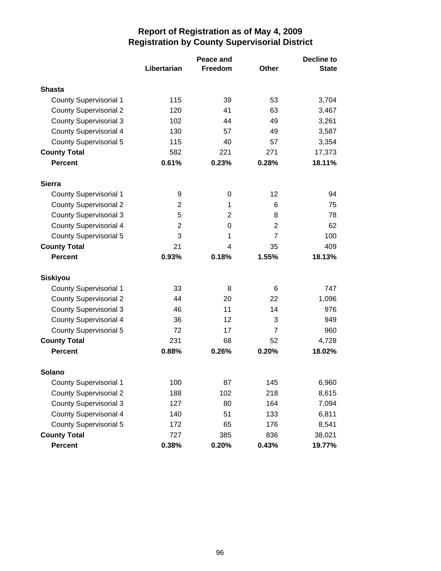|                               | Peace and   |         |                | <b>Decline to</b> |
|-------------------------------|-------------|---------|----------------|-------------------|
|                               | Libertarian | Freedom | <b>Other</b>   | <b>State</b>      |
| <b>Shasta</b>                 |             |         |                |                   |
| <b>County Supervisorial 1</b> | 115         | 39      | 53             | 3,704             |
| <b>County Supervisorial 2</b> | 120         | 41      | 63             | 3,467             |
| <b>County Supervisorial 3</b> | 102         | 44      | 49             | 3,261             |
| <b>County Supervisorial 4</b> | 130         | 57      | 49             | 3,587             |
| <b>County Supervisorial 5</b> | 115         | 40      | 57             | 3,354             |
| <b>County Total</b>           | 582         | 221     | 271            | 17,373            |
| <b>Percent</b>                | 0.61%       | 0.23%   | 0.28%          | 18.11%            |
| <b>Sierra</b>                 |             |         |                |                   |
| <b>County Supervisorial 1</b> | 9           | 0       | 12             | 94                |
| <b>County Supervisorial 2</b> | 2           | 1       | 6              | 75                |
| <b>County Supervisorial 3</b> | 5           | 2       | 8              | 78                |
| <b>County Supervisorial 4</b> | 2           | 0       | 2              | 62                |
| <b>County Supervisorial 5</b> | 3           | 1       | $\overline{7}$ | 100               |
| <b>County Total</b>           | 21          | 4       | 35             | 409               |
| <b>Percent</b>                | 0.93%       | 0.18%   | 1.55%          | 18.13%            |
| <b>Siskiyou</b>               |             |         |                |                   |
| <b>County Supervisorial 1</b> | 33          | 8       | 6              | 747               |
| <b>County Supervisorial 2</b> | 44          | 20      | 22             | 1,096             |
| <b>County Supervisorial 3</b> | 46          | 11      | 14             | 976               |
| <b>County Supervisorial 4</b> | 36          | 12      | 3              | 949               |
| <b>County Supervisorial 5</b> | 72          | 17      | $\overline{7}$ | 960               |
| <b>County Total</b>           | 231         | 68      | 52             | 4,728             |
| <b>Percent</b>                | 0.88%       | 0.26%   | 0.20%          | 18.02%            |
| <b>Solano</b>                 |             |         |                |                   |
| <b>County Supervisorial 1</b> | 100         | 87      | 145            | 6,960             |
| <b>County Supervisorial 2</b> | 188         | 102     | 218            | 8,615             |
| <b>County Supervisorial 3</b> | 127         | 80      | 164            | 7,094             |
| <b>County Supervisorial 4</b> | 140         | 51      | 133            | 6,811             |
| <b>County Supervisorial 5</b> | 172         | 65      | 176            | 8,541             |
| <b>County Total</b>           | 727         | 385     | 836            | 38,021            |
| Percent                       | 0.38%       | 0.20%   | 0.43%          | 19.77%            |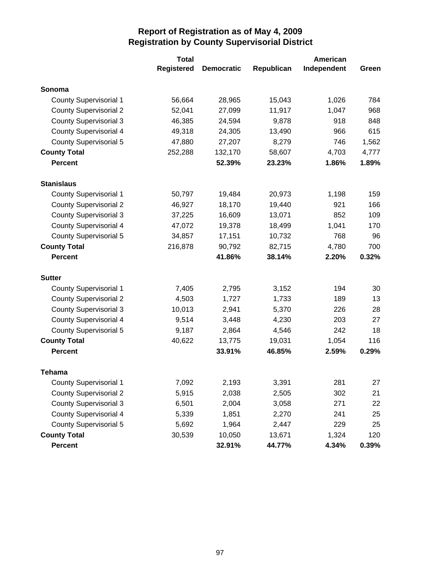|                               | <b>Total</b>      |                   |            | <b>American</b> |       |
|-------------------------------|-------------------|-------------------|------------|-----------------|-------|
|                               | <b>Registered</b> | <b>Democratic</b> | Republican | Independent     | Green |
| Sonoma                        |                   |                   |            |                 |       |
| <b>County Supervisorial 1</b> | 56,664            | 28,965            | 15,043     | 1,026           | 784   |
| <b>County Supervisorial 2</b> | 52,041            | 27,099            | 11,917     | 1,047           | 968   |
| <b>County Supervisorial 3</b> | 46,385            | 24,594            | 9,878      | 918             | 848   |
| <b>County Supervisorial 4</b> | 49,318            | 24,305            | 13,490     | 966             | 615   |
| <b>County Supervisorial 5</b> | 47,880            | 27,207            | 8,279      | 746             | 1,562 |
| <b>County Total</b>           | 252,288           | 132,170           | 58,607     | 4,703           | 4,777 |
| <b>Percent</b>                |                   | 52.39%            | 23.23%     | 1.86%           | 1.89% |
| <b>Stanislaus</b>             |                   |                   |            |                 |       |
| <b>County Supervisorial 1</b> | 50,797            | 19,484            | 20,973     | 1,198           | 159   |
| <b>County Supervisorial 2</b> | 46,927            | 18,170            | 19,440     | 921             | 166   |
| <b>County Supervisorial 3</b> | 37,225            | 16,609            | 13,071     | 852             | 109   |
| <b>County Supervisorial 4</b> | 47,072            | 19,378            | 18,499     | 1,041           | 170   |
| <b>County Supervisorial 5</b> | 34,857            | 17,151            | 10,732     | 768             | 96    |
| <b>County Total</b>           | 216,878           | 90,792            | 82,715     | 4,780           | 700   |
| <b>Percent</b>                |                   | 41.86%            | 38.14%     | 2.20%           | 0.32% |
| <b>Sutter</b>                 |                   |                   |            |                 |       |
| <b>County Supervisorial 1</b> | 7,405             | 2,795             | 3,152      | 194             | 30    |
| <b>County Supervisorial 2</b> | 4,503             | 1,727             | 1,733      | 189             | 13    |
| <b>County Supervisorial 3</b> | 10,013            | 2,941             | 5,370      | 226             | 28    |
| <b>County Supervisorial 4</b> | 9,514             | 3,448             | 4,230      | 203             | 27    |
| <b>County Supervisorial 5</b> | 9,187             | 2,864             | 4,546      | 242             | 18    |
| <b>County Total</b>           | 40,622            | 13,775            | 19,031     | 1,054           | 116   |
| <b>Percent</b>                |                   | 33.91%            | 46.85%     | 2.59%           | 0.29% |
| <b>Tehama</b>                 |                   |                   |            |                 |       |
| <b>County Supervisorial 1</b> | 7,092             | 2,193             | 3,391      | 281             | 27    |
| <b>County Supervisorial 2</b> | 5,915             | 2,038             | 2,505      | 302             | 21    |
| <b>County Supervisorial 3</b> | 6,501             | 2,004             | 3,058      | 271             | 22    |
| <b>County Supervisorial 4</b> | 5,339             | 1,851             | 2,270      | 241             | 25    |
| <b>County Supervisorial 5</b> | 5,692             | 1,964             | 2,447      | 229             | 25    |
| <b>County Total</b>           | 30,539            | 10,050            | 13,671     | 1,324           | 120   |
| Percent                       |                   | 32.91%            | 44.77%     | 4.34%           | 0.39% |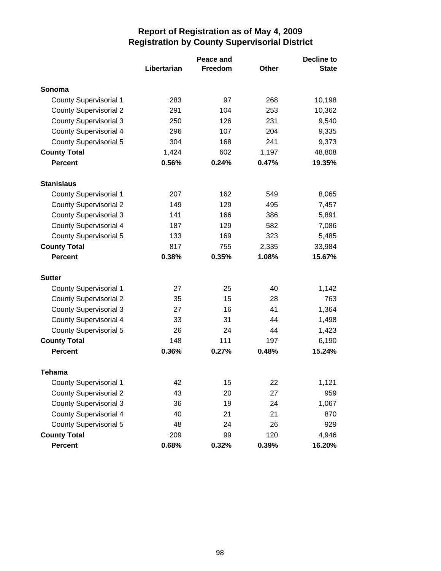|                               |             | <b>Decline to</b> |              |              |
|-------------------------------|-------------|-------------------|--------------|--------------|
|                               | Libertarian | Freedom           | <b>Other</b> | <b>State</b> |
| Sonoma                        |             |                   |              |              |
| <b>County Supervisorial 1</b> | 283         | 97                | 268          | 10,198       |
| <b>County Supervisorial 2</b> | 291         | 104               | 253          | 10,362       |
| <b>County Supervisorial 3</b> | 250         | 126               | 231          | 9,540        |
| <b>County Supervisorial 4</b> | 296         | 107               | 204          | 9,335        |
| <b>County Supervisorial 5</b> | 304         | 168               | 241          | 9,373        |
| <b>County Total</b>           | 1,424       | 602               | 1,197        | 48,808       |
| <b>Percent</b>                | 0.56%       | 0.24%             | 0.47%        | 19.35%       |
| <b>Stanislaus</b>             |             |                   |              |              |
| <b>County Supervisorial 1</b> | 207         | 162               | 549          | 8,065        |
| <b>County Supervisorial 2</b> | 149         | 129               | 495          | 7,457        |
| <b>County Supervisorial 3</b> | 141         | 166               | 386          | 5,891        |
| <b>County Supervisorial 4</b> | 187         | 129               | 582          | 7,086        |
| <b>County Supervisorial 5</b> | 133         | 169               | 323          | 5,485        |
| <b>County Total</b>           | 817         | 755               | 2,335        | 33,984       |
| <b>Percent</b>                | 0.38%       | 0.35%             | 1.08%        | 15.67%       |
| <b>Sutter</b>                 |             |                   |              |              |
| <b>County Supervisorial 1</b> | 27          | 25                | 40           | 1,142        |
| <b>County Supervisorial 2</b> | 35          | 15                | 28           | 763          |
| <b>County Supervisorial 3</b> | 27          | 16                | 41           | 1,364        |
| <b>County Supervisorial 4</b> | 33          | 31                | 44           | 1,498        |
| <b>County Supervisorial 5</b> | 26          | 24                | 44           | 1,423        |
| <b>County Total</b>           | 148         | 111               | 197          | 6,190        |
| <b>Percent</b>                | 0.36%       | 0.27%             | 0.48%        | 15.24%       |
| Tehama                        |             |                   |              |              |
| <b>County Supervisorial 1</b> | 42          | 15                | 22           | 1,121        |
| <b>County Supervisorial 2</b> | 43          | 20                | 27           | 959          |
| <b>County Supervisorial 3</b> | 36          | 19                | 24           | 1,067        |
| <b>County Supervisorial 4</b> | 40          | 21                | 21           | 870          |
| <b>County Supervisorial 5</b> | 48          | 24                | 26           | 929          |
| <b>County Total</b>           | 209         | 99                | 120          | 4,946        |
| <b>Percent</b>                | 0.68%       | 0.32%             | 0.39%        | 16.20%       |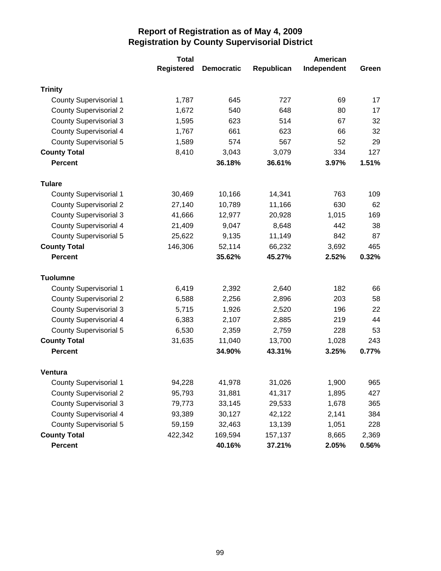|                               | <b>Total</b>      |                   |            | American    |       |
|-------------------------------|-------------------|-------------------|------------|-------------|-------|
|                               | <b>Registered</b> | <b>Democratic</b> | Republican | Independent | Green |
| <b>Trinity</b>                |                   |                   |            |             |       |
| <b>County Supervisorial 1</b> | 1,787             | 645               | 727        | 69          | 17    |
| <b>County Supervisorial 2</b> | 1,672             | 540               | 648        | 80          | 17    |
| <b>County Supervisorial 3</b> | 1,595             | 623               | 514        | 67          | 32    |
| <b>County Supervisorial 4</b> | 1,767             | 661               | 623        | 66          | 32    |
| <b>County Supervisorial 5</b> | 1,589             | 574               | 567        | 52          | 29    |
| <b>County Total</b>           | 8,410             | 3,043             | 3,079      | 334         | 127   |
| <b>Percent</b>                |                   | 36.18%            | 36.61%     | 3.97%       | 1.51% |
| <b>Tulare</b>                 |                   |                   |            |             |       |
| <b>County Supervisorial 1</b> | 30,469            | 10,166            | 14,341     | 763         | 109   |
| <b>County Supervisorial 2</b> | 27,140            | 10,789            | 11,166     | 630         | 62    |
| <b>County Supervisorial 3</b> | 41,666            | 12,977            | 20,928     | 1,015       | 169   |
| <b>County Supervisorial 4</b> | 21,409            | 9,047             | 8,648      | 442         | 38    |
| <b>County Supervisorial 5</b> | 25,622            | 9,135             | 11,149     | 842         | 87    |
| <b>County Total</b>           | 146,306           | 52,114            | 66,232     | 3,692       | 465   |
| <b>Percent</b>                |                   | 35.62%            | 45.27%     | 2.52%       | 0.32% |
| <b>Tuolumne</b>               |                   |                   |            |             |       |
| <b>County Supervisorial 1</b> | 6,419             | 2,392             | 2,640      | 182         | 66    |
| <b>County Supervisorial 2</b> | 6,588             | 2,256             | 2,896      | 203         | 58    |
| <b>County Supervisorial 3</b> | 5,715             | 1,926             | 2,520      | 196         | 22    |
| <b>County Supervisorial 4</b> | 6,383             | 2,107             | 2,885      | 219         | 44    |
| <b>County Supervisorial 5</b> | 6,530             | 2,359             | 2,759      | 228         | 53    |
| <b>County Total</b>           | 31,635            | 11,040            | 13,700     | 1,028       | 243   |
| <b>Percent</b>                |                   | 34.90%            | 43.31%     | 3.25%       | 0.77% |
| <b>Ventura</b>                |                   |                   |            |             |       |
| <b>County Supervisorial 1</b> | 94,228            | 41,978            | 31,026     | 1,900       | 965   |
| <b>County Supervisorial 2</b> | 95,793            | 31,881            | 41,317     | 1,895       | 427   |
| <b>County Supervisorial 3</b> | 79,773            | 33,145            | 29,533     | 1,678       | 365   |
| <b>County Supervisorial 4</b> | 93,389            | 30,127            | 42,122     | 2,141       | 384   |
| <b>County Supervisorial 5</b> | 59,159            | 32,463            | 13,139     | 1,051       | 228   |
| <b>County Total</b>           | 422,342           | 169,594           | 157,137    | 8,665       | 2,369 |
| <b>Percent</b>                |                   | 40.16%            | 37.21%     | 2.05%       | 0.56% |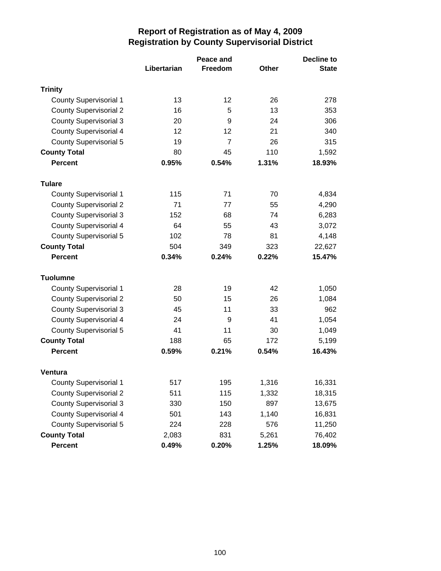|                               |             | <b>Decline to</b> |       |              |
|-------------------------------|-------------|-------------------|-------|--------------|
|                               | Libertarian | Freedom           | Other | <b>State</b> |
| <b>Trinity</b>                |             |                   |       |              |
| <b>County Supervisorial 1</b> | 13          | 12                | 26    | 278          |
| <b>County Supervisorial 2</b> | 16          | 5                 | 13    | 353          |
| <b>County Supervisorial 3</b> | 20          | 9                 | 24    | 306          |
| <b>County Supervisorial 4</b> | 12          | 12                | 21    | 340          |
| <b>County Supervisorial 5</b> | 19          | $\overline{7}$    | 26    | 315          |
| <b>County Total</b>           | 80          | 45                | 110   | 1,592        |
| <b>Percent</b>                | 0.95%       | 0.54%             | 1.31% | 18.93%       |
| <b>Tulare</b>                 |             |                   |       |              |
| <b>County Supervisorial 1</b> | 115         | 71                | 70    | 4,834        |
| <b>County Supervisorial 2</b> | 71          | 77                | 55    | 4,290        |
| <b>County Supervisorial 3</b> | 152         | 68                | 74    | 6,283        |
| County Supervisorial 4        | 64          | 55                | 43    | 3,072        |
| <b>County Supervisorial 5</b> | 102         | 78                | 81    | 4,148        |
| <b>County Total</b>           | 504         | 349               | 323   | 22,627       |
| <b>Percent</b>                | 0.34%       | 0.24%             | 0.22% | 15.47%       |
| <b>Tuolumne</b>               |             |                   |       |              |
| <b>County Supervisorial 1</b> | 28          | 19                | 42    | 1,050        |
| <b>County Supervisorial 2</b> | 50          | 15                | 26    | 1,084        |
| <b>County Supervisorial 3</b> | 45          | 11                | 33    | 962          |
| <b>County Supervisorial 4</b> | 24          | 9                 | 41    | 1,054        |
| <b>County Supervisorial 5</b> | 41          | 11                | 30    | 1,049        |
| <b>County Total</b>           | 188         | 65                | 172   | 5,199        |
| <b>Percent</b>                | 0.59%       | 0.21%             | 0.54% | 16.43%       |
| Ventura                       |             |                   |       |              |
| <b>County Supervisorial 1</b> | 517         | 195               | 1,316 | 16,331       |
| <b>County Supervisorial 2</b> | 511         | 115               | 1,332 | 18,315       |
| <b>County Supervisorial 3</b> | 330         | 150               | 897   | 13,675       |
| <b>County Supervisorial 4</b> | 501         | 143               | 1,140 | 16,831       |
| <b>County Supervisorial 5</b> | 224         | 228               | 576   | 11,250       |
| <b>County Total</b>           | 2,083       | 831               | 5,261 | 76,402       |
| <b>Percent</b>                | 0.49%       | 0.20%             | 1.25% | 18.09%       |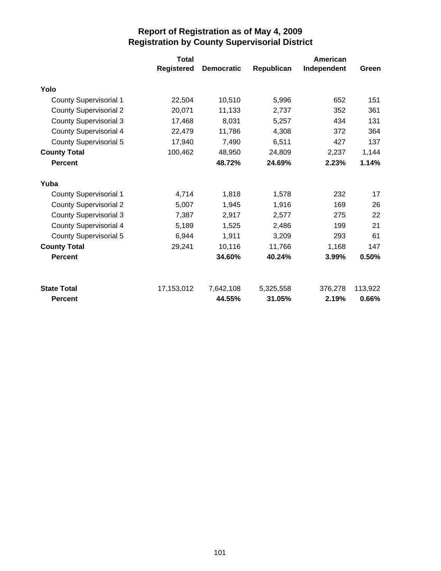|                                      | <b>Total</b> |                     |                     | American         |         |
|--------------------------------------|--------------|---------------------|---------------------|------------------|---------|
|                                      | Registered   | <b>Democratic</b>   | Republican          | Independent      | Green   |
| Yolo                                 |              |                     |                     |                  |         |
| <b>County Supervisorial 1</b>        | 22,504       | 10,510              | 5,996               | 652              | 151     |
| <b>County Supervisorial 2</b>        | 20,071       | 11,133              | 2,737               | 352              | 361     |
| <b>County Supervisorial 3</b>        | 17,468       | 8,031               | 5,257               | 434              | 131     |
| <b>County Supervisorial 4</b>        | 22,479       | 11,786              | 4,308               | 372              | 364     |
| County Supervisorial 5               | 17,940       | 7,490               | 6,511               | 427              | 137     |
| <b>County Total</b>                  | 100,462      | 48,950              | 24,809              | 2,237            | 1,144   |
| <b>Percent</b>                       |              | 48.72%              | 24.69%              | 2.23%            | 1.14%   |
| Yuba                                 |              |                     |                     |                  |         |
| <b>County Supervisorial 1</b>        | 4,714        | 1,818               | 1,578               | 232              | 17      |
| <b>County Supervisorial 2</b>        | 5,007        | 1,945               | 1,916               | 169              | 26      |
| <b>County Supervisorial 3</b>        | 7,387        | 2,917               | 2,577               | 275              | 22      |
| <b>County Supervisorial 4</b>        | 5,189        | 1,525               | 2,486               | 199              | 21      |
| <b>County Supervisorial 5</b>        | 6,944        | 1,911               | 3,209               | 293              | 61      |
| <b>County Total</b>                  | 29,241       | 10,116              | 11,766              | 1,168            | 147     |
| <b>Percent</b>                       |              | 34.60%              | 40.24%              | 3.99%            | 0.50%   |
|                                      |              |                     |                     |                  |         |
|                                      |              |                     |                     |                  | 0.66%   |
| <b>State Total</b><br><b>Percent</b> | 17,153,012   | 7,642,108<br>44.55% | 5,325,558<br>31.05% | 376,278<br>2.19% | 113,922 |